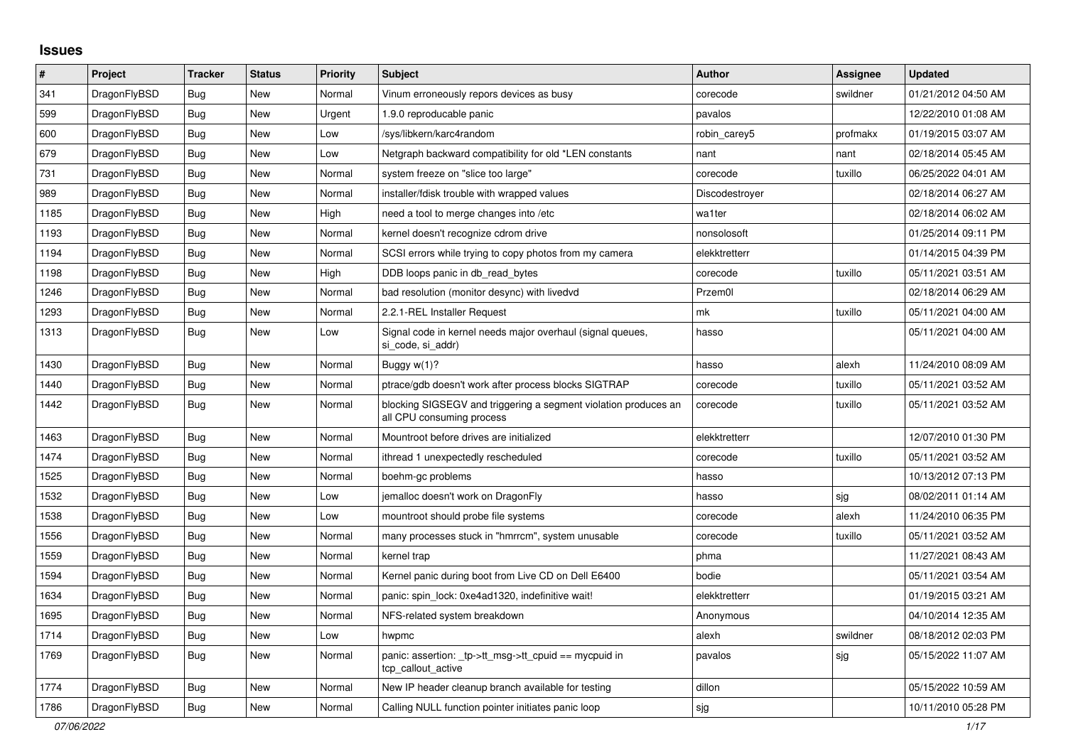## **Issues**

| $\#$ | Project      | Tracker    | <b>Status</b> | <b>Priority</b> | <b>Subject</b>                                                                               | <b>Author</b>  | Assignee | <b>Updated</b>      |
|------|--------------|------------|---------------|-----------------|----------------------------------------------------------------------------------------------|----------------|----------|---------------------|
| 341  | DragonFlyBSD | Bug        | <b>New</b>    | Normal          | Vinum erroneously repors devices as busy                                                     | corecode       | swildner | 01/21/2012 04:50 AM |
| 599  | DragonFlyBSD | <b>Bug</b> | <b>New</b>    | Urgent          | 1.9.0 reproducable panic                                                                     | pavalos        |          | 12/22/2010 01:08 AM |
| 600  | DragonFlyBSD | Bug        | <b>New</b>    | Low             | /sys/libkern/karc4random                                                                     | robin carey5   | profmakx | 01/19/2015 03:07 AM |
| 679  | DragonFlyBSD | Bug        | New           | Low             | Netgraph backward compatibility for old *LEN constants                                       | nant           | nant     | 02/18/2014 05:45 AM |
| 731  | DragonFlyBSD | Bug        | New           | Normal          | system freeze on "slice too large"                                                           | corecode       | tuxillo  | 06/25/2022 04:01 AM |
| 989  | DragonFlyBSD | <b>Bug</b> | <b>New</b>    | Normal          | installer/fdisk trouble with wrapped values                                                  | Discodestroyer |          | 02/18/2014 06:27 AM |
| 1185 | DragonFlyBSD | Bug        | New           | High            | need a tool to merge changes into /etc                                                       | wa1ter         |          | 02/18/2014 06:02 AM |
| 1193 | DragonFlyBSD | Bug        | <b>New</b>    | Normal          | kernel doesn't recognize cdrom drive                                                         | nonsolosoft    |          | 01/25/2014 09:11 PM |
| 1194 | DragonFlyBSD | <b>Bug</b> | <b>New</b>    | Normal          | SCSI errors while trying to copy photos from my camera                                       | elekktretterr  |          | 01/14/2015 04:39 PM |
| 1198 | DragonFlyBSD | <b>Bug</b> | <b>New</b>    | High            | DDB loops panic in db read bytes                                                             | corecode       | tuxillo  | 05/11/2021 03:51 AM |
| 1246 | DragonFlyBSD | <b>Bug</b> | <b>New</b>    | Normal          | bad resolution (monitor desync) with livedvd                                                 | Przem0l        |          | 02/18/2014 06:29 AM |
| 1293 | DragonFlyBSD | <b>Bug</b> | <b>New</b>    | Normal          | 2.2.1-REL Installer Request                                                                  | mk             | tuxillo  | 05/11/2021 04:00 AM |
| 1313 | DragonFlyBSD | <b>Bug</b> | New           | Low             | Signal code in kernel needs major overhaul (signal queues,<br>si code, si addr)              | hasso          |          | 05/11/2021 04:00 AM |
| 1430 | DragonFlyBSD | <b>Bug</b> | <b>New</b>    | Normal          | Buggy w(1)?                                                                                  | hasso          | alexh    | 11/24/2010 08:09 AM |
| 1440 | DragonFlyBSD | Bug        | <b>New</b>    | Normal          | ptrace/gdb doesn't work after process blocks SIGTRAP                                         | corecode       | tuxillo  | 05/11/2021 03:52 AM |
| 1442 | DragonFlyBSD | <b>Bug</b> | <b>New</b>    | Normal          | blocking SIGSEGV and triggering a segment violation produces an<br>all CPU consuming process | corecode       | tuxillo  | 05/11/2021 03:52 AM |
| 1463 | DragonFlyBSD | <b>Bug</b> | <b>New</b>    | Normal          | Mountroot before drives are initialized                                                      | elekktretterr  |          | 12/07/2010 01:30 PM |
| 1474 | DragonFlyBSD | <b>Bug</b> | <b>New</b>    | Normal          | ithread 1 unexpectedly rescheduled                                                           | corecode       | tuxillo  | 05/11/2021 03:52 AM |
| 1525 | DragonFlyBSD | Bug        | <b>New</b>    | Normal          | boehm-gc problems                                                                            | hasso          |          | 10/13/2012 07:13 PM |
| 1532 | DragonFlyBSD | <b>Bug</b> | New           | Low             | jemalloc doesn't work on DragonFly                                                           | hasso          | sjg      | 08/02/2011 01:14 AM |
| 1538 | DragonFlyBSD | Bug        | <b>New</b>    | Low             | mountroot should probe file systems                                                          | corecode       | alexh    | 11/24/2010 06:35 PM |
| 1556 | DragonFlyBSD | <b>Bug</b> | New           | Normal          | many processes stuck in "hmrrcm", system unusable                                            | corecode       | tuxillo  | 05/11/2021 03:52 AM |
| 1559 | DragonFlyBSD | Bug        | <b>New</b>    | Normal          | kernel trap                                                                                  | phma           |          | 11/27/2021 08:43 AM |
| 1594 | DragonFlyBSD | Bug        | <b>New</b>    | Normal          | Kernel panic during boot from Live CD on Dell E6400                                          | bodie          |          | 05/11/2021 03:54 AM |
| 1634 | DragonFlyBSD | Bug        | <b>New</b>    | Normal          | panic: spin lock: 0xe4ad1320, indefinitive wait!                                             | elekktretterr  |          | 01/19/2015 03:21 AM |
| 1695 | DragonFlyBSD | Bug        | New           | Normal          | NFS-related system breakdown                                                                 | Anonymous      |          | 04/10/2014 12:35 AM |
| 1714 | DragonFlyBSD | <b>Bug</b> | New           | Low             | hwpmc                                                                                        | alexh          | swildner | 08/18/2012 02:03 PM |
| 1769 | DragonFlyBSD | <b>Bug</b> | <b>New</b>    | Normal          | panic: assertion: tp->tt msg->tt cpuid == mycpuid in<br>tcp callout active                   | pavalos        | sjg      | 05/15/2022 11:07 AM |
| 1774 | DragonFlyBSD | Bug        | <b>New</b>    | Normal          | New IP header cleanup branch available for testing                                           | dillon         |          | 05/15/2022 10:59 AM |
| 1786 | DragonFlyBSD | <b>Bug</b> | <b>New</b>    | Normal          | Calling NULL function pointer initiates panic loop                                           | sjg            |          | 10/11/2010 05:28 PM |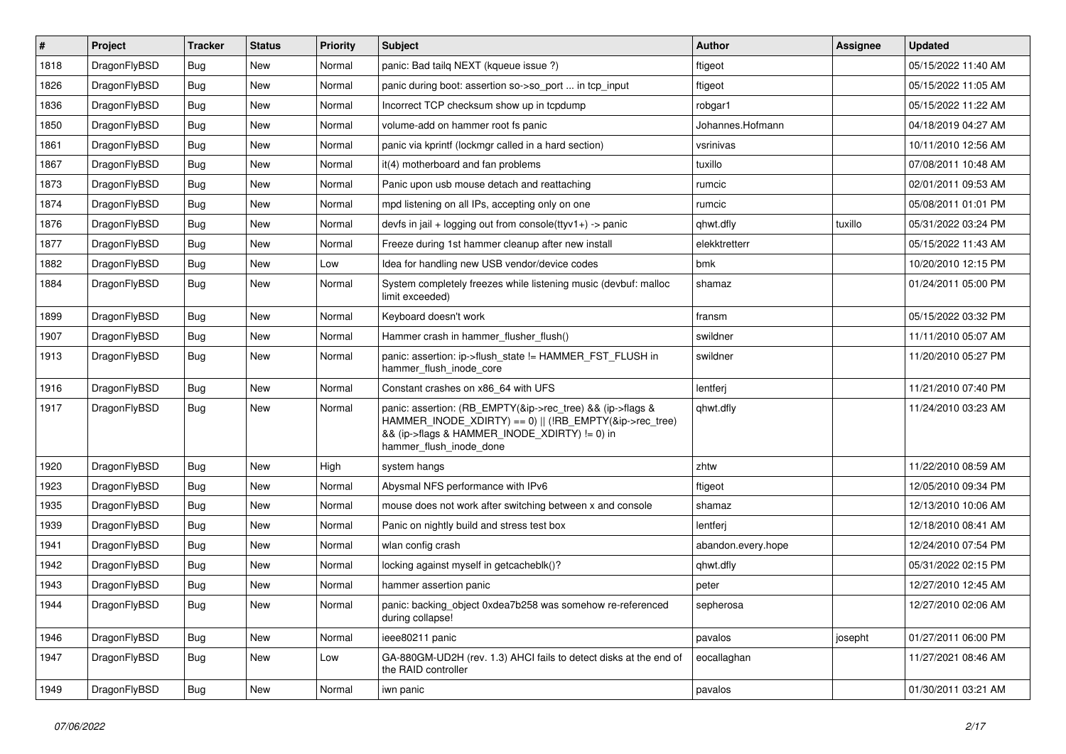| $\vert$ # | Project      | <b>Tracker</b> | <b>Status</b> | <b>Priority</b> | <b>Subject</b>                                                                                                                                                                                    | <b>Author</b>      | Assignee | <b>Updated</b>      |
|-----------|--------------|----------------|---------------|-----------------|---------------------------------------------------------------------------------------------------------------------------------------------------------------------------------------------------|--------------------|----------|---------------------|
| 1818      | DragonFlyBSD | Bug            | <b>New</b>    | Normal          | panic: Bad tailg NEXT (kqueue issue ?)                                                                                                                                                            | ftigeot            |          | 05/15/2022 11:40 AM |
| 1826      | DragonFlyBSD | Bug            | <b>New</b>    | Normal          | panic during boot: assertion so->so_port  in tcp_input                                                                                                                                            | ftigeot            |          | 05/15/2022 11:05 AM |
| 1836      | DragonFlyBSD | Bug            | <b>New</b>    | Normal          | Incorrect TCP checksum show up in tcpdump                                                                                                                                                         | robgar1            |          | 05/15/2022 11:22 AM |
| 1850      | DragonFlyBSD | Bug            | <b>New</b>    | Normal          | volume-add on hammer root fs panic                                                                                                                                                                | Johannes.Hofmann   |          | 04/18/2019 04:27 AM |
| 1861      | DragonFlyBSD | Bug            | <b>New</b>    | Normal          | panic via kprintf (lockmgr called in a hard section)                                                                                                                                              | vsrinivas          |          | 10/11/2010 12:56 AM |
| 1867      | DragonFlyBSD | <b>Bug</b>     | <b>New</b>    | Normal          | it(4) motherboard and fan problems                                                                                                                                                                | tuxillo            |          | 07/08/2011 10:48 AM |
| 1873      | DragonFlyBSD | Bug            | <b>New</b>    | Normal          | Panic upon usb mouse detach and reattaching                                                                                                                                                       | rumcic             |          | 02/01/2011 09:53 AM |
| 1874      | DragonFlyBSD | <b>Bug</b>     | <b>New</b>    | Normal          | mpd listening on all IPs, accepting only on one                                                                                                                                                   | rumcic             |          | 05/08/2011 01:01 PM |
| 1876      | DragonFlyBSD | Bug            | New           | Normal          | devfs in $ ail + logging$ out from console(ttyv1+) -> panic                                                                                                                                       | qhwt.dfly          | tuxillo  | 05/31/2022 03:24 PM |
| 1877      | DragonFlyBSD | <b>Bug</b>     | <b>New</b>    | Normal          | Freeze during 1st hammer cleanup after new install                                                                                                                                                | elekktretterr      |          | 05/15/2022 11:43 AM |
| 1882      | DragonFlyBSD | Bug            | <b>New</b>    | Low             | Idea for handling new USB vendor/device codes                                                                                                                                                     | bmk                |          | 10/20/2010 12:15 PM |
| 1884      | DragonFlyBSD | Bug            | <b>New</b>    | Normal          | System completely freezes while listening music (devbuf: malloc<br>limit exceeded)                                                                                                                | shamaz             |          | 01/24/2011 05:00 PM |
| 1899      | DragonFlyBSD | Bug            | <b>New</b>    | Normal          | Keyboard doesn't work                                                                                                                                                                             | fransm             |          | 05/15/2022 03:32 PM |
| 1907      | DragonFlyBSD | <b>Bug</b>     | <b>New</b>    | Normal          | Hammer crash in hammer_flusher_flush()                                                                                                                                                            | swildner           |          | 11/11/2010 05:07 AM |
| 1913      | DragonFlyBSD | Bug            | <b>New</b>    | Normal          | panic: assertion: ip->flush_state != HAMMER_FST_FLUSH in<br>hammer_flush_inode_core                                                                                                               | swildner           |          | 11/20/2010 05:27 PM |
| 1916      | DragonFlyBSD | <b>Bug</b>     | <b>New</b>    | Normal          | Constant crashes on x86_64 with UFS                                                                                                                                                               | lentferj           |          | 11/21/2010 07:40 PM |
| 1917      | DragonFlyBSD | <b>Bug</b>     | <b>New</b>    | Normal          | panic: assertion: (RB_EMPTY(&ip->rec_tree) && (ip->flags &<br>HAMMER_INODE_XDIRTY) == 0)    (!RB_EMPTY(&ip->rec_tree)<br>&& (ip->flags & HAMMER_INODE_XDIRTY) != 0) in<br>hammer_flush_inode_done | qhwt.dfly          |          | 11/24/2010 03:23 AM |
| 1920      | DragonFlyBSD | Bug            | <b>New</b>    | High            | system hangs                                                                                                                                                                                      | zhtw               |          | 11/22/2010 08:59 AM |
| 1923      | DragonFlyBSD | <b>Bug</b>     | <b>New</b>    | Normal          | Abysmal NFS performance with IPv6                                                                                                                                                                 | ftigeot            |          | 12/05/2010 09:34 PM |
| 1935      | DragonFlyBSD | Bug            | <b>New</b>    | Normal          | mouse does not work after switching between x and console                                                                                                                                         | shamaz             |          | 12/13/2010 10:06 AM |
| 1939      | DragonFlyBSD | <b>Bug</b>     | <b>New</b>    | Normal          | Panic on nightly build and stress test box                                                                                                                                                        | lentferj           |          | 12/18/2010 08:41 AM |
| 1941      | DragonFlyBSD | Bug            | <b>New</b>    | Normal          | wlan config crash                                                                                                                                                                                 | abandon.every.hope |          | 12/24/2010 07:54 PM |
| 1942      | DragonFlyBSD | Bug            | <b>New</b>    | Normal          | locking against myself in getcacheblk()?                                                                                                                                                          | qhwt.dfly          |          | 05/31/2022 02:15 PM |
| 1943      | DragonFlyBSD | <b>Bug</b>     | <b>New</b>    | Normal          | hammer assertion panic                                                                                                                                                                            | peter              |          | 12/27/2010 12:45 AM |
| 1944      | DragonFlyBSD | <b>Bug</b>     | New           | Normal          | panic: backing_object 0xdea7b258 was somehow re-referenced<br>during collapse!                                                                                                                    | sepherosa          |          | 12/27/2010 02:06 AM |
| 1946      | DragonFlyBSD | <b>Bug</b>     | New           | Normal          | ieee80211 panic                                                                                                                                                                                   | pavalos            | josepht  | 01/27/2011 06:00 PM |
| 1947      | DragonFlyBSD | <b>Bug</b>     | New           | Low             | GA-880GM-UD2H (rev. 1.3) AHCI fails to detect disks at the end of<br>the RAID controller                                                                                                          | eocallaghan        |          | 11/27/2021 08:46 AM |
| 1949      | DragonFlyBSD | Bug            | New           | Normal          | iwn panic                                                                                                                                                                                         | pavalos            |          | 01/30/2011 03:21 AM |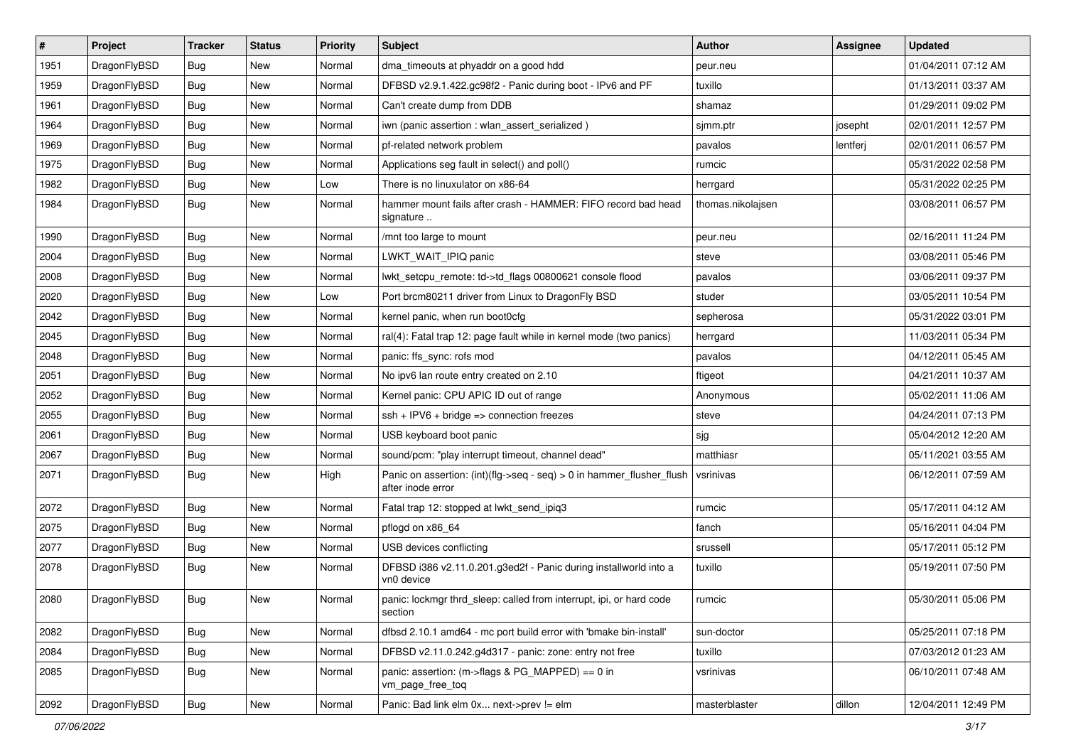| $\vert$ # | Project      | <b>Tracker</b> | <b>Status</b> | <b>Priority</b> | <b>Subject</b>                                                                                | <b>Author</b>     | <b>Assignee</b> | <b>Updated</b>      |
|-----------|--------------|----------------|---------------|-----------------|-----------------------------------------------------------------------------------------------|-------------------|-----------------|---------------------|
| 1951      | DragonFlyBSD | <b>Bug</b>     | <b>New</b>    | Normal          | dma_timeouts at phyaddr on a good hdd                                                         | peur.neu          |                 | 01/04/2011 07:12 AM |
| 1959      | DragonFlyBSD | <b>Bug</b>     | <b>New</b>    | Normal          | DFBSD v2.9.1.422.gc98f2 - Panic during boot - IPv6 and PF                                     | tuxillo           |                 | 01/13/2011 03:37 AM |
| 1961      | DragonFlyBSD | <b>Bug</b>     | <b>New</b>    | Normal          | Can't create dump from DDB                                                                    | shamaz            |                 | 01/29/2011 09:02 PM |
| 1964      | DragonFlyBSD | Bug            | <b>New</b>    | Normal          | iwn (panic assertion : wlan_assert_serialized)                                                | sjmm.ptr          | josepht         | 02/01/2011 12:57 PM |
| 1969      | DragonFlyBSD | <b>Bug</b>     | <b>New</b>    | Normal          | pf-related network problem                                                                    | pavalos           | lentferj        | 02/01/2011 06:57 PM |
| 1975      | DragonFlyBSD | <b>Bug</b>     | New           | Normal          | Applications seg fault in select() and poll()                                                 | rumcic            |                 | 05/31/2022 02:58 PM |
| 1982      | DragonFlyBSD | Bug            | <b>New</b>    | Low             | There is no linuxulator on x86-64                                                             | herrgard          |                 | 05/31/2022 02:25 PM |
| 1984      | DragonFlyBSD | Bug            | New           | Normal          | hammer mount fails after crash - HAMMER: FIFO record bad head<br>signature                    | thomas.nikolajsen |                 | 03/08/2011 06:57 PM |
| 1990      | DragonFlyBSD | Bug            | <b>New</b>    | Normal          | /mnt too large to mount                                                                       | peur.neu          |                 | 02/16/2011 11:24 PM |
| 2004      | DragonFlyBSD | <b>Bug</b>     | <b>New</b>    | Normal          | LWKT_WAIT_IPIQ panic                                                                          | steve             |                 | 03/08/2011 05:46 PM |
| 2008      | DragonFlyBSD | Bug            | <b>New</b>    | Normal          | lwkt_setcpu_remote: td->td_flags 00800621 console flood                                       | pavalos           |                 | 03/06/2011 09:37 PM |
| 2020      | DragonFlyBSD | <b>Bug</b>     | <b>New</b>    | Low             | Port brcm80211 driver from Linux to DragonFly BSD                                             | studer            |                 | 03/05/2011 10:54 PM |
| 2042      | DragonFlyBSD | <b>Bug</b>     | New           | Normal          | kernel panic, when run boot0cfg                                                               | sepherosa         |                 | 05/31/2022 03:01 PM |
| 2045      | DragonFlyBSD | <b>Bug</b>     | <b>New</b>    | Normal          | ral(4): Fatal trap 12: page fault while in kernel mode (two panics)                           | herrgard          |                 | 11/03/2011 05:34 PM |
| 2048      | DragonFlyBSD | <b>Bug</b>     | New           | Normal          | panic: ffs_sync: rofs mod                                                                     | pavalos           |                 | 04/12/2011 05:45 AM |
| 2051      | DragonFlyBSD | Bug            | New           | Normal          | No ipv6 lan route entry created on 2.10                                                       | ftigeot           |                 | 04/21/2011 10:37 AM |
| 2052      | DragonFlyBSD | <b>Bug</b>     | <b>New</b>    | Normal          | Kernel panic: CPU APIC ID out of range                                                        | Anonymous         |                 | 05/02/2011 11:06 AM |
| 2055      | DragonFlyBSD | <b>Bug</b>     | New           | Normal          | $ssh + IPV6 + bridge \Rightarrow connection freezes$                                          | steve             |                 | 04/24/2011 07:13 PM |
| 2061      | DragonFlyBSD | Bug            | <b>New</b>    | Normal          | USB keyboard boot panic                                                                       | sjg               |                 | 05/04/2012 12:20 AM |
| 2067      | DragonFlyBSD | <b>Bug</b>     | <b>New</b>    | Normal          | sound/pcm: "play interrupt timeout, channel dead"                                             | matthiasr         |                 | 05/11/2021 03:55 AM |
| 2071      | DragonFlyBSD | Bug            | <b>New</b>    | High            | Panic on assertion: $(int)(flag->seq - seq) > 0$ in hammer flusher flush<br>after inode error | vsrinivas         |                 | 06/12/2011 07:59 AM |
| 2072      | DragonFlyBSD | <b>Bug</b>     | <b>New</b>    | Normal          | Fatal trap 12: stopped at lwkt_send_ipiq3                                                     | rumcic            |                 | 05/17/2011 04:12 AM |
| 2075      | DragonFlyBSD | Bug            | New           | Normal          | pflogd on x86_64                                                                              | fanch             |                 | 05/16/2011 04:04 PM |
| 2077      | DragonFlyBSD | <b>Bug</b>     | <b>New</b>    | Normal          | USB devices conflicting                                                                       | srussell          |                 | 05/17/2011 05:12 PM |
| 2078      | DragonFlyBSD | Bug            | New           | Normal          | DFBSD i386 v2.11.0.201.g3ed2f - Panic during installworld into a<br>vn0 device                | tuxillo           |                 | 05/19/2011 07:50 PM |
| 2080      | DragonFlyBSD | <b>Bug</b>     | New           | Normal          | panic: lockmgr thrd_sleep: called from interrupt, ipi, or hard code<br>section                | rumcic            |                 | 05/30/2011 05:06 PM |
| 2082      | DragonFlyBSD | <b>Bug</b>     | New           | Normal          | dfbsd 2.10.1 amd64 - mc port build error with 'bmake bin-install'                             | sun-doctor        |                 | 05/25/2011 07:18 PM |
| 2084      | DragonFlyBSD | <b>Bug</b>     | New           | Normal          | DFBSD v2.11.0.242.g4d317 - panic: zone: entry not free                                        | tuxillo           |                 | 07/03/2012 01:23 AM |
| 2085      | DragonFlyBSD | Bug            | New           | Normal          | panic: assertion: (m->flags & PG_MAPPED) == 0 in<br>vm_page_free_toq                          | vsrinivas         |                 | 06/10/2011 07:48 AM |
| 2092      | DragonFlyBSD | Bug            | New           | Normal          | Panic: Bad link elm 0x next->prev != elm                                                      | masterblaster     | dillon          | 12/04/2011 12:49 PM |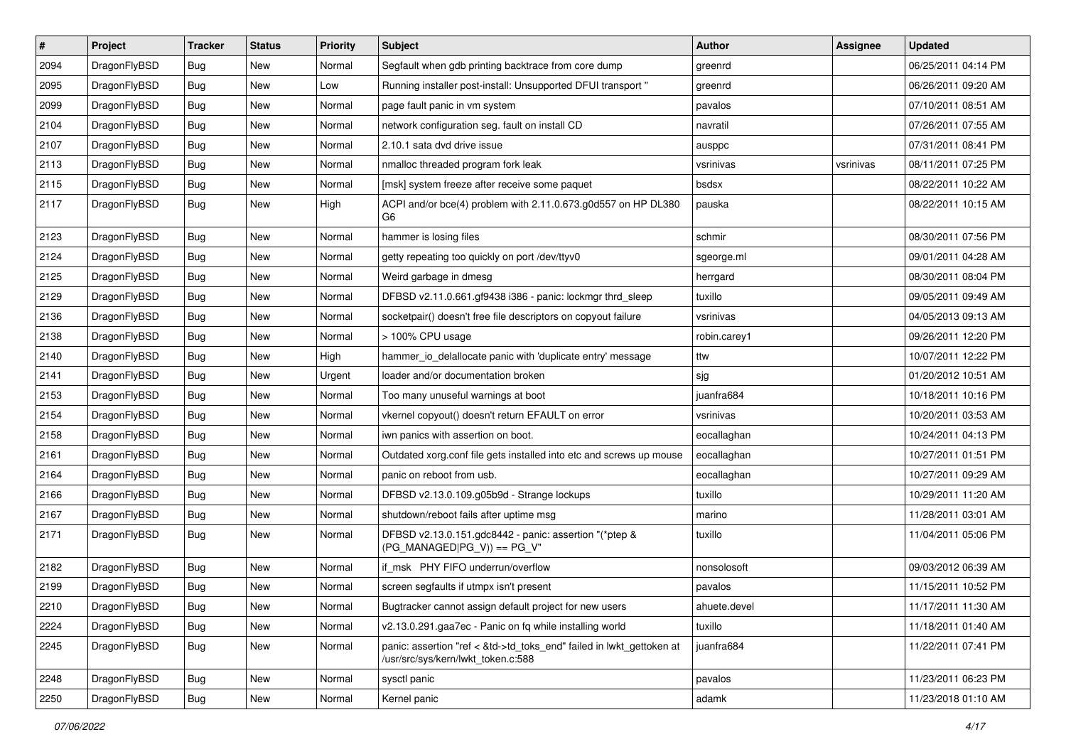| $\vert$ # | Project      | <b>Tracker</b> | <b>Status</b> | <b>Priority</b> | <b>Subject</b>                                                                                             | <b>Author</b> | <b>Assignee</b> | <b>Updated</b>      |
|-----------|--------------|----------------|---------------|-----------------|------------------------------------------------------------------------------------------------------------|---------------|-----------------|---------------------|
| 2094      | DragonFlyBSD | Bug            | <b>New</b>    | Normal          | Segfault when gdb printing backtrace from core dump                                                        | greenrd       |                 | 06/25/2011 04:14 PM |
| 2095      | DragonFlyBSD | <b>Bug</b>     | <b>New</b>    | Low             | Running installer post-install: Unsupported DFUI transport "                                               | greenrd       |                 | 06/26/2011 09:20 AM |
| 2099      | DragonFlyBSD | <b>Bug</b>     | <b>New</b>    | Normal          | page fault panic in vm system                                                                              | pavalos       |                 | 07/10/2011 08:51 AM |
| 2104      | DragonFlyBSD | Bug            | <b>New</b>    | Normal          | network configuration seg. fault on install CD                                                             | navratil      |                 | 07/26/2011 07:55 AM |
| 2107      | DragonFlyBSD | Bug            | <b>New</b>    | Normal          | 2.10.1 sata dvd drive issue                                                                                | ausppc        |                 | 07/31/2011 08:41 PM |
| 2113      | DragonFlyBSD | <b>Bug</b>     | New           | Normal          | nmalloc threaded program fork leak                                                                         | vsrinivas     | vsrinivas       | 08/11/2011 07:25 PM |
| 2115      | DragonFlyBSD | Bug            | <b>New</b>    | Normal          | [msk] system freeze after receive some paquet                                                              | bsdsx         |                 | 08/22/2011 10:22 AM |
| 2117      | DragonFlyBSD | Bug            | New           | High            | ACPI and/or bce(4) problem with 2.11.0.673.g0d557 on HP DL380<br>G6                                        | pauska        |                 | 08/22/2011 10:15 AM |
| 2123      | DragonFlyBSD | Bug            | <b>New</b>    | Normal          | hammer is losing files                                                                                     | schmir        |                 | 08/30/2011 07:56 PM |
| 2124      | DragonFlyBSD | <b>Bug</b>     | <b>New</b>    | Normal          | getty repeating too quickly on port /dev/ttyv0                                                             | sgeorge.ml    |                 | 09/01/2011 04:28 AM |
| 2125      | DragonFlyBSD | Bug            | <b>New</b>    | Normal          | Weird garbage in dmesg                                                                                     | herrgard      |                 | 08/30/2011 08:04 PM |
| 2129      | DragonFlyBSD | Bug            | <b>New</b>    | Normal          | DFBSD v2.11.0.661.gf9438 i386 - panic: lockmgr thrd_sleep                                                  | tuxillo       |                 | 09/05/2011 09:49 AM |
| 2136      | DragonFlyBSD | Bug            | New           | Normal          | socketpair() doesn't free file descriptors on copyout failure                                              | vsrinivas     |                 | 04/05/2013 09:13 AM |
| 2138      | DragonFlyBSD | <b>Bug</b>     | <b>New</b>    | Normal          | > 100% CPU usage                                                                                           | robin.carey1  |                 | 09/26/2011 12:20 PM |
| 2140      | DragonFlyBSD | <b>Bug</b>     | New           | High            | hammer io delallocate panic with 'duplicate entry' message                                                 | ttw           |                 | 10/07/2011 12:22 PM |
| 2141      | DragonFlyBSD | Bug            | New           | Urgent          | loader and/or documentation broken                                                                         | sjg           |                 | 01/20/2012 10:51 AM |
| 2153      | DragonFlyBSD | <b>Bug</b>     | <b>New</b>    | Normal          | Too many unuseful warnings at boot                                                                         | juanfra684    |                 | 10/18/2011 10:16 PM |
| 2154      | DragonFlyBSD | <b>Bug</b>     | New           | Normal          | vkernel copyout() doesn't return EFAULT on error                                                           | vsrinivas     |                 | 10/20/2011 03:53 AM |
| 2158      | DragonFlyBSD | Bug            | <b>New</b>    | Normal          | iwn panics with assertion on boot.                                                                         | eocallaghan   |                 | 10/24/2011 04:13 PM |
| 2161      | DragonFlyBSD | <b>Bug</b>     | <b>New</b>    | Normal          | Outdated xorg.conf file gets installed into etc and screws up mouse                                        | eocallaghan   |                 | 10/27/2011 01:51 PM |
| 2164      | DragonFlyBSD | Bug            | <b>New</b>    | Normal          | panic on reboot from usb.                                                                                  | eocallaghan   |                 | 10/27/2011 09:29 AM |
| 2166      | DragonFlyBSD | <b>Bug</b>     | <b>New</b>    | Normal          | DFBSD v2.13.0.109.g05b9d - Strange lockups                                                                 | tuxillo       |                 | 10/29/2011 11:20 AM |
| 2167      | DragonFlyBSD | <b>Bug</b>     | New           | Normal          | shutdown/reboot fails after uptime msg                                                                     | marino        |                 | 11/28/2011 03:01 AM |
| 2171      | DragonFlyBSD | Bug            | New           | Normal          | DFBSD v2.13.0.151.gdc8442 - panic: assertion "(*ptep &<br>$(PG_MANAGED PG_V)) == PG_V"$                    | tuxillo       |                 | 11/04/2011 05:06 PM |
| 2182      | DragonFlyBSD | Bug            | <b>New</b>    | Normal          | if_msk PHY FIFO underrun/overflow                                                                          | nonsolosoft   |                 | 09/03/2012 06:39 AM |
| 2199      | DragonFlyBSD | Bug            | <b>New</b>    | Normal          | screen segfaults if utmpx isn't present                                                                    | pavalos       |                 | 11/15/2011 10:52 PM |
| 2210      | DragonFlyBSD | <b>Bug</b>     | New           | Normal          | Bugtracker cannot assign default project for new users                                                     | ahuete.devel  |                 | 11/17/2011 11:30 AM |
| 2224      | DragonFlyBSD | <b>Bug</b>     | New           | Normal          | v2.13.0.291.gaa7ec - Panic on fq while installing world                                                    | tuxillo       |                 | 11/18/2011 01:40 AM |
| 2245      | DragonFlyBSD | <b>Bug</b>     | New           | Normal          | panic: assertion "ref < &td->td_toks_end" failed in lwkt_gettoken at<br>/usr/src/sys/kern/lwkt_token.c:588 | juanfra684    |                 | 11/22/2011 07:41 PM |
| 2248      | DragonFlyBSD | <b>Bug</b>     | New           | Normal          | sysctl panic                                                                                               | pavalos       |                 | 11/23/2011 06:23 PM |
| 2250      | DragonFlyBSD | <b>Bug</b>     | New           | Normal          | Kernel panic                                                                                               | adamk         |                 | 11/23/2018 01:10 AM |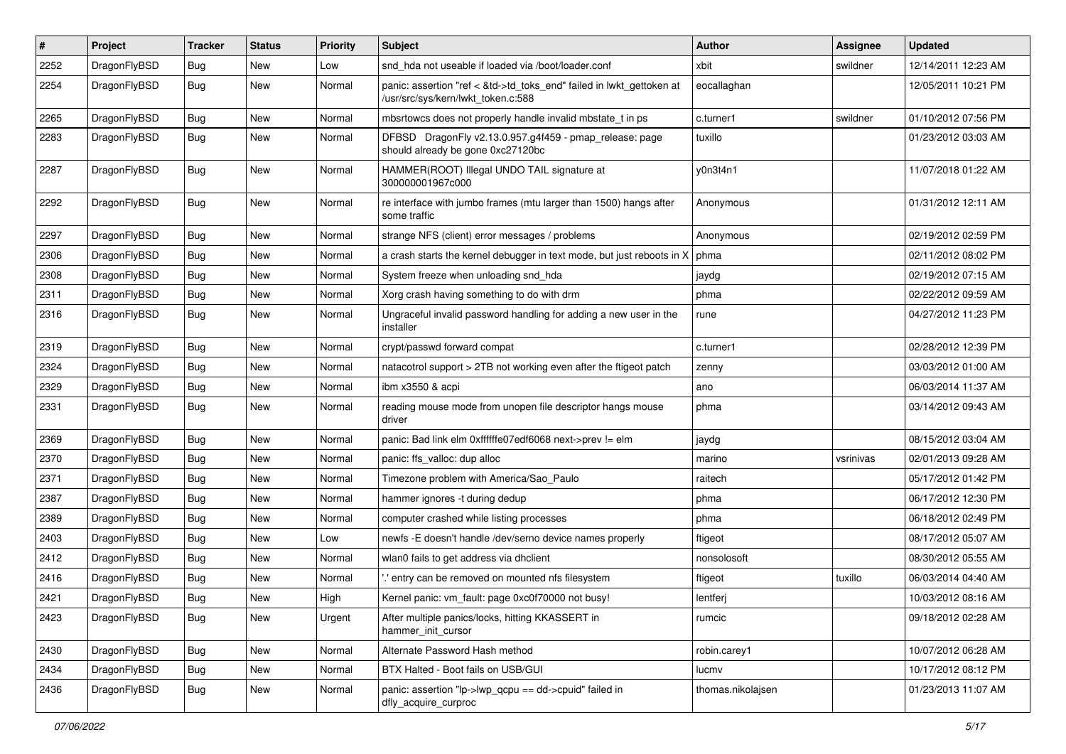| #    | Project      | <b>Tracker</b> | <b>Status</b> | <b>Priority</b> | Subject                                                                                                         | <b>Author</b>     | <b>Assignee</b> | <b>Updated</b>      |
|------|--------------|----------------|---------------|-----------------|-----------------------------------------------------------------------------------------------------------------|-------------------|-----------------|---------------------|
| 2252 | DragonFlyBSD | <b>Bug</b>     | <b>New</b>    | Low             | snd hda not useable if loaded via /boot/loader.conf                                                             | xbit              | swildner        | 12/14/2011 12:23 AM |
| 2254 | DragonFlyBSD | Bug            | <b>New</b>    | Normal          | panic: assertion "ref < &td->td_toks_end" failed in lwkt_gettoken at<br>/usr/src/sys/kern/lwkt token.c:588      | eocallaghan       |                 | 12/05/2011 10:21 PM |
| 2265 | DragonFlyBSD | Bug            | <b>New</b>    | Normal          | mbsrtowcs does not properly handle invalid mbstate_t in ps                                                      | c.turner1         | swildner        | 01/10/2012 07:56 PM |
| 2283 | DragonFlyBSD | Bug            | New           | Normal          | DFBSD DragonFly v2.13.0.957.g4f459 - pmap_release: page<br>should already be gone 0xc27120bc                    | tuxillo           |                 | 01/23/2012 03:03 AM |
| 2287 | DragonFlyBSD | Bug            | New           | Normal          | HAMMER(ROOT) Illegal UNDO TAIL signature at<br>300000001967c000                                                 | y0n3t4n1          |                 | 11/07/2018 01:22 AM |
| 2292 | DragonFlyBSD | Bug            | New           | Normal          | re interface with jumbo frames (mtu larger than 1500) hangs after<br>some traffic                               | Anonymous         |                 | 01/31/2012 12:11 AM |
| 2297 | DragonFlyBSD | <b>Bug</b>     | New           | Normal          | strange NFS (client) error messages / problems                                                                  | Anonymous         |                 | 02/19/2012 02:59 PM |
| 2306 | DragonFlyBSD | <b>Bug</b>     | New           | Normal          | a crash starts the kernel debugger in text mode, but just reboots in X                                          | phma              |                 | 02/11/2012 08:02 PM |
| 2308 | DragonFlyBSD | <b>Bug</b>     | New           | Normal          | System freeze when unloading snd_hda                                                                            | jaydg             |                 | 02/19/2012 07:15 AM |
| 2311 | DragonFlyBSD | Bug            | New           | Normal          | Xorg crash having something to do with drm                                                                      | phma              |                 | 02/22/2012 09:59 AM |
| 2316 | DragonFlyBSD | <b>Bug</b>     | <b>New</b>    | Normal          | Ungraceful invalid password handling for adding a new user in the<br>installer                                  | rune              |                 | 04/27/2012 11:23 PM |
| 2319 | DragonFlyBSD | Bug            | <b>New</b>    | Normal          | crypt/passwd forward compat                                                                                     | c.turner1         |                 | 02/28/2012 12:39 PM |
| 2324 | DragonFlyBSD | Bug            | New           | Normal          | natacotrol support > 2TB not working even after the ftigeot patch                                               | zenny             |                 | 03/03/2012 01:00 AM |
| 2329 | DragonFlyBSD | <b>Bug</b>     | <b>New</b>    | Normal          | ibm x3550 & acpi                                                                                                | ano               |                 | 06/03/2014 11:37 AM |
| 2331 | DragonFlyBSD | <b>Bug</b>     | New           | Normal          | reading mouse mode from unopen file descriptor hangs mouse<br>driver                                            | phma              |                 | 03/14/2012 09:43 AM |
| 2369 | DragonFlyBSD | <b>Bug</b>     | New           | Normal          | panic: Bad link elm 0xffffffe07edf6068 next->prev != elm                                                        | jaydg             |                 | 08/15/2012 03:04 AM |
| 2370 | DragonFlyBSD | <b>Bug</b>     | New           | Normal          | panic: ffs_valloc: dup alloc                                                                                    | marino            | vsrinivas       | 02/01/2013 09:28 AM |
| 2371 | DragonFlyBSD | <b>Bug</b>     | <b>New</b>    | Normal          | Timezone problem with America/Sao_Paulo                                                                         | raitech           |                 | 05/17/2012 01:42 PM |
| 2387 | DragonFlyBSD | <b>Bug</b>     | New           | Normal          | hammer ignores -t during dedup                                                                                  | phma              |                 | 06/17/2012 12:30 PM |
| 2389 | DragonFlyBSD | Bug            | <b>New</b>    | Normal          | computer crashed while listing processes                                                                        | phma              |                 | 06/18/2012 02:49 PM |
| 2403 | DragonFlyBSD | Bug            | New           | Low             | newfs -E doesn't handle /dev/serno device names properly                                                        | ftigeot           |                 | 08/17/2012 05:07 AM |
| 2412 | DragonFlyBSD | Bug            | <b>New</b>    | Normal          | wlan0 fails to get address via dhclient                                                                         | nonsolosoft       |                 | 08/30/2012 05:55 AM |
| 2416 | DragonFlyBSD | Bug            | New           | Normal          | ".' entry can be removed on mounted nfs filesystem                                                              | ftigeot           | tuxillo         | 06/03/2014 04:40 AM |
| 2421 | DragonFlyBSD | Bug            | <b>New</b>    | High            | Kernel panic: vm fault: page 0xc0f70000 not busy!                                                               | lentferj          |                 | 10/03/2012 08:16 AM |
| 2423 | DragonFlyBSD | Bug            | New           | Urgent          | After multiple panics/locks, hitting KKASSERT in<br>hammer_init_cursor                                          | rumcic            |                 | 09/18/2012 02:28 AM |
| 2430 | DragonFlyBSD | <b>Bug</b>     | <b>New</b>    | Normal          | Alternate Password Hash method                                                                                  | robin.carey1      |                 | 10/07/2012 06:28 AM |
| 2434 | DragonFlyBSD | <b>Bug</b>     | <b>New</b>    | Normal          | BTX Halted - Boot fails on USB/GUI                                                                              | lucmv             |                 | 10/17/2012 08:12 PM |
| 2436 | DragonFlyBSD | <b>Bug</b>     | New           | Normal          | panic: assertion " $ p\rightarrow wp\rangle$ qcpu == dd- $\rightarrow$ cpuid" failed in<br>dfly_acquire_curproc | thomas.nikolajsen |                 | 01/23/2013 11:07 AM |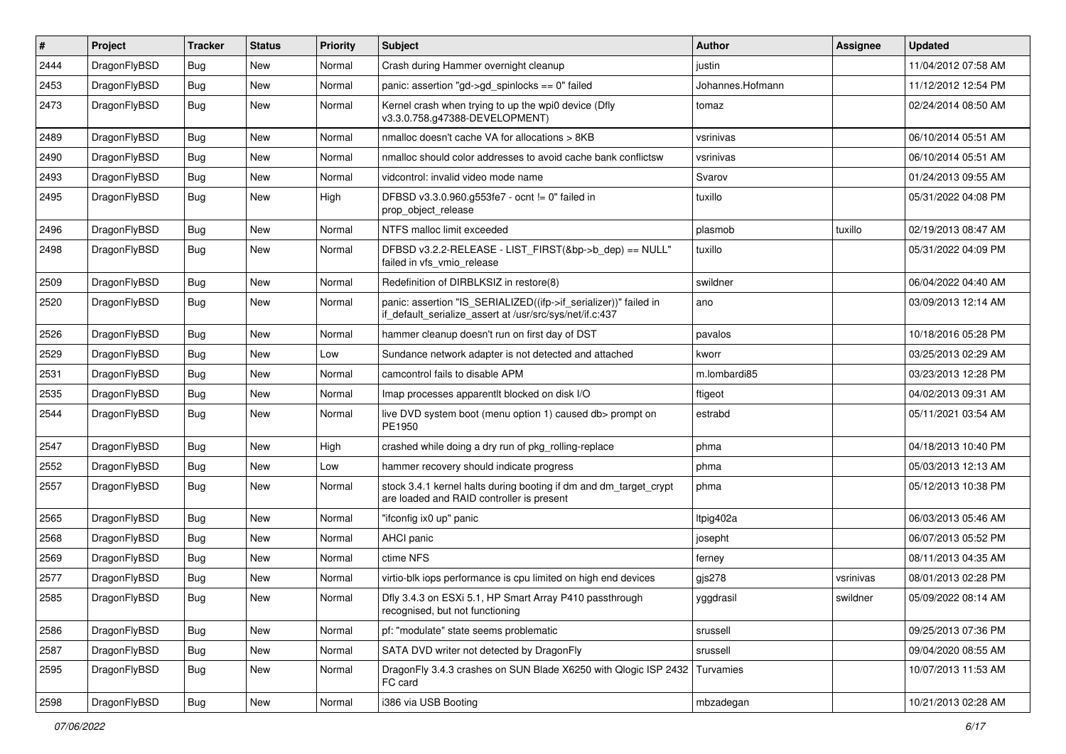| #    | Project      | <b>Tracker</b> | <b>Status</b> | <b>Priority</b> | Subject                                                                                                                      | <b>Author</b>    | Assignee  | <b>Updated</b>      |
|------|--------------|----------------|---------------|-----------------|------------------------------------------------------------------------------------------------------------------------------|------------------|-----------|---------------------|
| 2444 | DragonFlyBSD | Bug            | <b>New</b>    | Normal          | Crash during Hammer overnight cleanup                                                                                        | justin           |           | 11/04/2012 07:58 AM |
| 2453 | DragonFlyBSD | Bug            | New           | Normal          | panic: assertion "gd->gd_spinlocks == 0" failed                                                                              | Johannes.Hofmann |           | 11/12/2012 12:54 PM |
| 2473 | DragonFlyBSD | Bug            | <b>New</b>    | Normal          | Kernel crash when trying to up the wpi0 device (Dfly<br>v3.3.0.758.g47388-DEVELOPMENT)                                       | tomaz            |           | 02/24/2014 08:50 AM |
| 2489 | DragonFlyBSD | Bug            | <b>New</b>    | Normal          | nmalloc doesn't cache VA for allocations > 8KB                                                                               | vsrinivas        |           | 06/10/2014 05:51 AM |
| 2490 | DragonFlyBSD | Bug            | New           | Normal          | nmalloc should color addresses to avoid cache bank conflictsw                                                                | vsrinivas        |           | 06/10/2014 05:51 AM |
| 2493 | DragonFlyBSD | Bug            | <b>New</b>    | Normal          | vidcontrol: invalid video mode name                                                                                          | Svarov           |           | 01/24/2013 09:55 AM |
| 2495 | DragonFlyBSD | Bug            | New           | High            | DFBSD v3.3.0.960.g553fe7 - ocnt != 0" failed in<br>prop_object_release                                                       | tuxillo          |           | 05/31/2022 04:08 PM |
| 2496 | DragonFlyBSD | Bug            | New           | Normal          | NTFS malloc limit exceeded                                                                                                   | plasmob          | tuxillo   | 02/19/2013 08:47 AM |
| 2498 | DragonFlyBSD | Bug            | <b>New</b>    | Normal          | DFBSD v3.2.2-RELEASE - LIST_FIRST(&bp->b_dep) == NULL"<br>failed in vfs_vmio_release                                         | tuxillo          |           | 05/31/2022 04:09 PM |
| 2509 | DragonFlyBSD | Bug            | <b>New</b>    | Normal          | Redefinition of DIRBLKSIZ in restore(8)                                                                                      | swildner         |           | 06/04/2022 04:40 AM |
| 2520 | DragonFlyBSD | Bug            | New           | Normal          | panic: assertion "IS SERIALIZED((ifp->if serializer))" failed in<br>if_default_serialize_assert at /usr/src/sys/net/if.c:437 | ano              |           | 03/09/2013 12:14 AM |
| 2526 | DragonFlyBSD | Bug            | New           | Normal          | hammer cleanup doesn't run on first day of DST                                                                               | pavalos          |           | 10/18/2016 05:28 PM |
| 2529 | DragonFlyBSD | Bug            | <b>New</b>    | Low             | Sundance network adapter is not detected and attached                                                                        | kworr            |           | 03/25/2013 02:29 AM |
| 2531 | DragonFlyBSD | Bug            | New           | Normal          | camcontrol fails to disable APM                                                                                              | m.lombardi85     |           | 03/23/2013 12:28 PM |
| 2535 | DragonFlyBSD | Bug            | New           | Normal          | Imap processes apparentlt blocked on disk I/O                                                                                | ftigeot          |           | 04/02/2013 09:31 AM |
| 2544 | DragonFlyBSD | Bug            | New           | Normal          | live DVD system boot (menu option 1) caused db> prompt on<br>PE1950                                                          | estrabd          |           | 05/11/2021 03:54 AM |
| 2547 | DragonFlyBSD | Bug            | New           | High            | crashed while doing a dry run of pkg rolling-replace                                                                         | phma             |           | 04/18/2013 10:40 PM |
| 2552 | DragonFlyBSD | Bug            | New           | Low             | hammer recovery should indicate progress                                                                                     | phma             |           | 05/03/2013 12:13 AM |
| 2557 | DragonFlyBSD | Bug            | New           | Normal          | stock 3.4.1 kernel halts during booting if dm and dm_target_crypt<br>are loaded and RAID controller is present               | phma             |           | 05/12/2013 10:38 PM |
| 2565 | DragonFlyBSD | <b>Bug</b>     | New           | Normal          | "ifconfig ix0 up" panic                                                                                                      | Itpig402a        |           | 06/03/2013 05:46 AM |
| 2568 | DragonFlyBSD | Bug            | New           | Normal          | AHCI panic                                                                                                                   | josepht          |           | 06/07/2013 05:52 PM |
| 2569 | DragonFlyBSD | Bug            | New           | Normal          | ctime NFS                                                                                                                    | ferney           |           | 08/11/2013 04:35 AM |
| 2577 | DragonFlyBSD | Bug            | New           | Normal          | virtio-blk iops performance is cpu limited on high end devices                                                               | gjs278           | vsrinivas | 08/01/2013 02:28 PM |
| 2585 | DragonFlyBSD | Bug            | <b>New</b>    | Normal          | Dfly 3.4.3 on ESXi 5.1, HP Smart Array P410 passthrough<br>recognised, but not functioning                                   | yggdrasil        | swildner  | 05/09/2022 08:14 AM |
| 2586 | DragonFlyBSD | <b>Bug</b>     | New           | Normal          | pf: "modulate" state seems problematic                                                                                       | srussell         |           | 09/25/2013 07:36 PM |
| 2587 | DragonFlyBSD | Bug            | New           | Normal          | SATA DVD writer not detected by DragonFly                                                                                    | srussell         |           | 09/04/2020 08:55 AM |
| 2595 | DragonFlyBSD | <b>Bug</b>     | <b>New</b>    | Normal          | DragonFly 3.4.3 crashes on SUN Blade X6250 with Qlogic ISP 2432<br>FC card                                                   | Turvamies        |           | 10/07/2013 11:53 AM |
| 2598 | DragonFlyBSD | <b>Bug</b>     | New           | Normal          | i386 via USB Booting                                                                                                         | mbzadegan        |           | 10/21/2013 02:28 AM |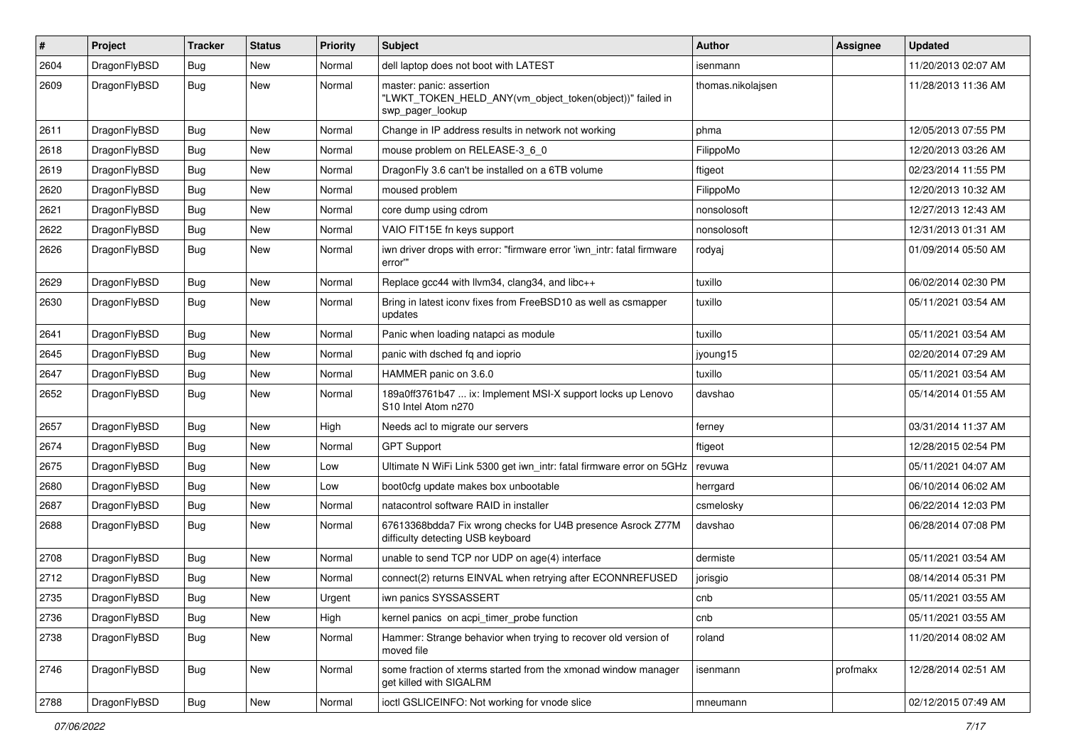| $\pmb{\#}$ | Project      | <b>Tracker</b> | <b>Status</b> | <b>Priority</b> | Subject                                                                                                  | <b>Author</b>     | Assignee | <b>Updated</b>      |
|------------|--------------|----------------|---------------|-----------------|----------------------------------------------------------------------------------------------------------|-------------------|----------|---------------------|
| 2604       | DragonFlyBSD | Bug            | New           | Normal          | dell laptop does not boot with LATEST                                                                    | isenmann          |          | 11/20/2013 02:07 AM |
| 2609       | DragonFlyBSD | <b>Bug</b>     | New           | Normal          | master: panic: assertion<br>"LWKT_TOKEN_HELD_ANY(vm_object_token(object))" failed in<br>swp_pager_lookup | thomas.nikolajsen |          | 11/28/2013 11:36 AM |
| 2611       | DragonFlyBSD | Bug            | <b>New</b>    | Normal          | Change in IP address results in network not working                                                      | phma              |          | 12/05/2013 07:55 PM |
| 2618       | DragonFlyBSD | <b>Bug</b>     | <b>New</b>    | Normal          | mouse problem on RELEASE-3_6_0                                                                           | FilippoMo         |          | 12/20/2013 03:26 AM |
| 2619       | DragonFlyBSD | Bug            | New           | Normal          | DragonFly 3.6 can't be installed on a 6TB volume                                                         | ftigeot           |          | 02/23/2014 11:55 PM |
| 2620       | DragonFlyBSD | Bug            | <b>New</b>    | Normal          | moused problem                                                                                           | FilippoMo         |          | 12/20/2013 10:32 AM |
| 2621       | DragonFlyBSD | <b>Bug</b>     | New           | Normal          | core dump using cdrom                                                                                    | nonsolosoft       |          | 12/27/2013 12:43 AM |
| 2622       | DragonFlyBSD | Bug            | New           | Normal          | VAIO FIT15E fn keys support                                                                              | nonsolosoft       |          | 12/31/2013 01:31 AM |
| 2626       | DragonFlyBSD | Bug            | New           | Normal          | iwn driver drops with error: "firmware error 'iwn intr: fatal firmware<br>error"                         | rodyaj            |          | 01/09/2014 05:50 AM |
| 2629       | DragonFlyBSD | Bug            | New           | Normal          | Replace gcc44 with llvm34, clang34, and libc++                                                           | tuxillo           |          | 06/02/2014 02:30 PM |
| 2630       | DragonFlyBSD | Bug            | New           | Normal          | Bring in latest iconv fixes from FreeBSD10 as well as csmapper<br>updates                                | tuxillo           |          | 05/11/2021 03:54 AM |
| 2641       | DragonFlyBSD | <b>Bug</b>     | <b>New</b>    | Normal          | Panic when loading natapci as module                                                                     | tuxillo           |          | 05/11/2021 03:54 AM |
| 2645       | DragonFlyBSD | Bug            | New           | Normal          | panic with dsched fq and ioprio                                                                          | jyoung15          |          | 02/20/2014 07:29 AM |
| 2647       | DragonFlyBSD | Bug            | <b>New</b>    | Normal          | HAMMER panic on 3.6.0                                                                                    | tuxillo           |          | 05/11/2021 03:54 AM |
| 2652       | DragonFlyBSD | Bug            | New           | Normal          | 189a0ff3761b47  ix: Implement MSI-X support locks up Lenovo<br>S10 Intel Atom n270                       | davshao           |          | 05/14/2014 01:55 AM |
| 2657       | DragonFlyBSD | Bug            | <b>New</b>    | High            | Needs acl to migrate our servers                                                                         | ferney            |          | 03/31/2014 11:37 AM |
| 2674       | DragonFlyBSD | Bug            | New           | Normal          | <b>GPT Support</b>                                                                                       | ftigeot           |          | 12/28/2015 02:54 PM |
| 2675       | DragonFlyBSD | Bug            | <b>New</b>    | Low             | Ultimate N WiFi Link 5300 get iwn_intr: fatal firmware error on 5GHz                                     | revuwa            |          | 05/11/2021 04:07 AM |
| 2680       | DragonFlyBSD | Bug            | New           | Low             | boot0cfg update makes box unbootable                                                                     | herrgard          |          | 06/10/2014 06:02 AM |
| 2687       | DragonFlyBSD | Bug            | <b>New</b>    | Normal          | natacontrol software RAID in installer                                                                   | csmelosky         |          | 06/22/2014 12:03 PM |
| 2688       | DragonFlyBSD | Bug            | <b>New</b>    | Normal          | 67613368bdda7 Fix wrong checks for U4B presence Asrock Z77M<br>difficulty detecting USB keyboard         | davshao           |          | 06/28/2014 07:08 PM |
| 2708       | DragonFlyBSD | Bug            | <b>New</b>    | Normal          | unable to send TCP nor UDP on age(4) interface                                                           | dermiste          |          | 05/11/2021 03:54 AM |
| 2712       | DragonFlyBSD | <b>Bug</b>     | New           | Normal          | connect(2) returns EINVAL when retrying after ECONNREFUSED                                               | jorisgio          |          | 08/14/2014 05:31 PM |
| 2735       | DragonFlyBSD | Bug            | New           | Urgent          | iwn panics SYSSASSERT                                                                                    | cnb               |          | 05/11/2021 03:55 AM |
| 2736       | DragonFlyBSD | Bug            | New           | High            | kernel panics on acpi_timer_probe function                                                               | cnb               |          | 05/11/2021 03:55 AM |
| 2738       | DragonFlyBSD | Bug            | New           | Normal          | Hammer: Strange behavior when trying to recover old version of<br>moved file                             | roland            |          | 11/20/2014 08:02 AM |
| 2746       | DragonFlyBSD | Bug            | New           | Normal          | some fraction of xterms started from the xmonad window manager<br>get killed with SIGALRM                | isenmann          | profmakx | 12/28/2014 02:51 AM |
| 2788       | DragonFlyBSD | <b>Bug</b>     | New           | Normal          | ioctl GSLICEINFO: Not working for vnode slice                                                            | mneumann          |          | 02/12/2015 07:49 AM |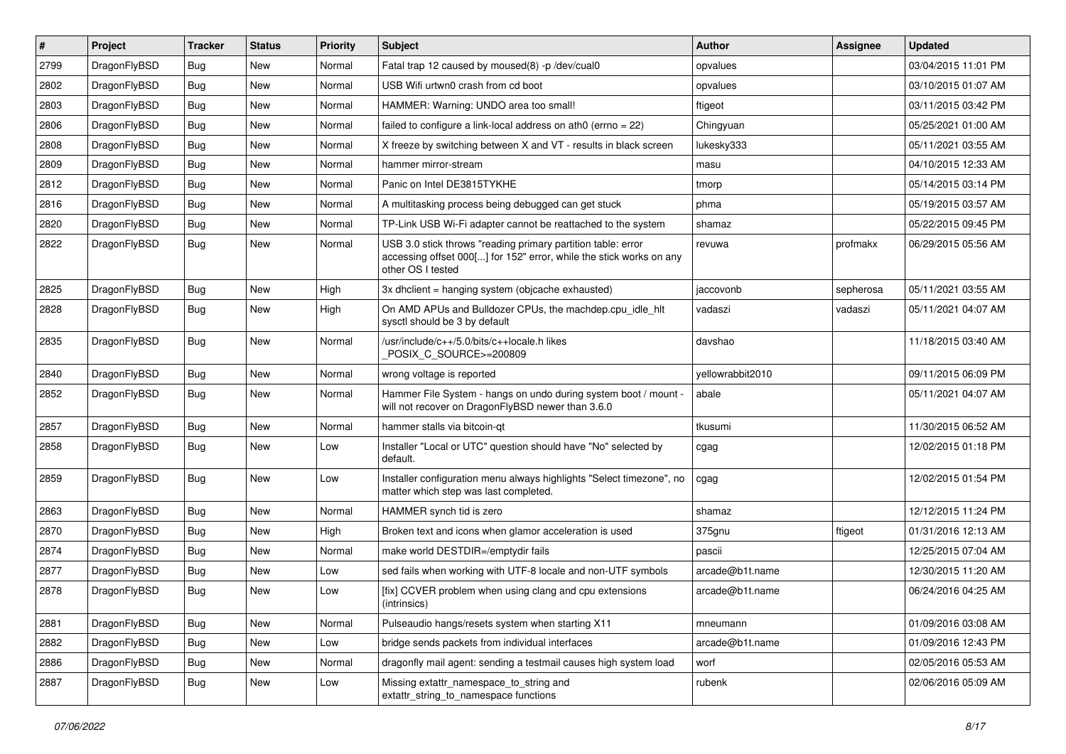| #    | Project      | <b>Tracker</b> | <b>Status</b> | <b>Priority</b> | Subject                                                                                                                                                  | <b>Author</b>    | Assignee  | <b>Updated</b>      |
|------|--------------|----------------|---------------|-----------------|----------------------------------------------------------------------------------------------------------------------------------------------------------|------------------|-----------|---------------------|
| 2799 | DragonFlyBSD | Bug            | <b>New</b>    | Normal          | Fatal trap 12 caused by moused(8) -p /dev/cual0                                                                                                          | opvalues         |           | 03/04/2015 11:01 PM |
| 2802 | DragonFlyBSD | Bug            | New           | Normal          | USB Wifi urtwn0 crash from cd boot                                                                                                                       | opvalues         |           | 03/10/2015 01:07 AM |
| 2803 | DragonFlyBSD | Bug            | New           | Normal          | HAMMER: Warning: UNDO area too small!                                                                                                                    | ftigeot          |           | 03/11/2015 03:42 PM |
| 2806 | DragonFlyBSD | Bug            | New           | Normal          | failed to configure a link-local address on ath0 (errno = 22)                                                                                            | Chingyuan        |           | 05/25/2021 01:00 AM |
| 2808 | DragonFlyBSD | Bug            | <b>New</b>    | Normal          | X freeze by switching between X and VT - results in black screen                                                                                         | lukesky333       |           | 05/11/2021 03:55 AM |
| 2809 | DragonFlyBSD | Bug            | New           | Normal          | hammer mirror-stream                                                                                                                                     | masu             |           | 04/10/2015 12:33 AM |
| 2812 | DragonFlyBSD | Bug            | New           | Normal          | Panic on Intel DE3815TYKHE                                                                                                                               | tmorp            |           | 05/14/2015 03:14 PM |
| 2816 | DragonFlyBSD | Bug            | New           | Normal          | A multitasking process being debugged can get stuck                                                                                                      | phma             |           | 05/19/2015 03:57 AM |
| 2820 | DragonFlyBSD | Bug            | New           | Normal          | TP-Link USB Wi-Fi adapter cannot be reattached to the system                                                                                             | shamaz           |           | 05/22/2015 09:45 PM |
| 2822 | DragonFlyBSD | Bug            | New           | Normal          | USB 3.0 stick throws "reading primary partition table: error<br>accessing offset 000[] for 152" error, while the stick works on any<br>other OS I tested | revuwa           | profmakx  | 06/29/2015 05:56 AM |
| 2825 | DragonFlyBSD | <b>Bug</b>     | <b>New</b>    | High            | 3x dhclient = hanging system (objcache exhausted)                                                                                                        | jaccovonb        | sepherosa | 05/11/2021 03:55 AM |
| 2828 | DragonFlyBSD | <b>Bug</b>     | New           | High            | On AMD APUs and Bulldozer CPUs, the machdep.cpu_idle_hlt<br>sysctl should be 3 by default                                                                | vadaszi          | vadaszi   | 05/11/2021 04:07 AM |
| 2835 | DragonFlyBSD | Bug            | <b>New</b>    | Normal          | /usr/include/c++/5.0/bits/c++locale.h likes<br>POSIX_C_SOURCE>=200809                                                                                    | davshao          |           | 11/18/2015 03:40 AM |
| 2840 | DragonFlyBSD | <b>Bug</b>     | New           | Normal          | wrong voltage is reported                                                                                                                                | vellowrabbit2010 |           | 09/11/2015 06:09 PM |
| 2852 | DragonFlyBSD | <b>Bug</b>     | <b>New</b>    | Normal          | Hammer File System - hangs on undo during system boot / mount -<br>will not recover on DragonFlyBSD newer than 3.6.0                                     | abale            |           | 05/11/2021 04:07 AM |
| 2857 | DragonFlyBSD | Bug            | <b>New</b>    | Normal          | hammer stalls via bitcoin-gt                                                                                                                             | tkusumi          |           | 11/30/2015 06:52 AM |
| 2858 | DragonFlyBSD | <b>Bug</b>     | New           | Low             | Installer "Local or UTC" question should have "No" selected by<br>default.                                                                               | cgag             |           | 12/02/2015 01:18 PM |
| 2859 | DragonFlyBSD | <b>Bug</b>     | <b>New</b>    | Low             | Installer configuration menu always highlights "Select timezone", no<br>matter which step was last completed.                                            | cgag             |           | 12/02/2015 01:54 PM |
| 2863 | DragonFlyBSD | <b>Bug</b>     | <b>New</b>    | Normal          | HAMMER synch tid is zero                                                                                                                                 | shamaz           |           | 12/12/2015 11:24 PM |
| 2870 | DragonFlyBSD | <b>Bug</b>     | New           | High            | Broken text and icons when glamor acceleration is used                                                                                                   | 375gnu           | ftigeot   | 01/31/2016 12:13 AM |
| 2874 | DragonFlyBSD | <b>Bug</b>     | New           | Normal          | make world DESTDIR=/emptydir fails                                                                                                                       | pascii           |           | 12/25/2015 07:04 AM |
| 2877 | DragonFlyBSD | <b>Bug</b>     | <b>New</b>    | Low             | sed fails when working with UTF-8 locale and non-UTF symbols                                                                                             | arcade@b1t.name  |           | 12/30/2015 11:20 AM |
| 2878 | DragonFlyBSD | <b>Bug</b>     | New           | Low             | [fix] CCVER problem when using clang and cpu extensions<br>(intrinsics)                                                                                  | arcade@b1t.name  |           | 06/24/2016 04:25 AM |
| 2881 | DragonFlyBSD | <b>Bug</b>     | <b>New</b>    | Normal          | Pulseaudio hangs/resets system when starting X11                                                                                                         | mneumann         |           | 01/09/2016 03:08 AM |
| 2882 | DragonFlyBSD | <b>Bug</b>     | New           | Low             | bridge sends packets from individual interfaces                                                                                                          | arcade@b1t.name  |           | 01/09/2016 12:43 PM |
| 2886 | DragonFlyBSD | <b>Bug</b>     | New           | Normal          | dragonfly mail agent: sending a testmail causes high system load                                                                                         | worf             |           | 02/05/2016 05:53 AM |
| 2887 | DragonFlyBSD | <b>Bug</b>     | New           | Low             | Missing extattr_namespace_to_string and<br>extattr_string_to_namespace functions                                                                         | rubenk           |           | 02/06/2016 05:09 AM |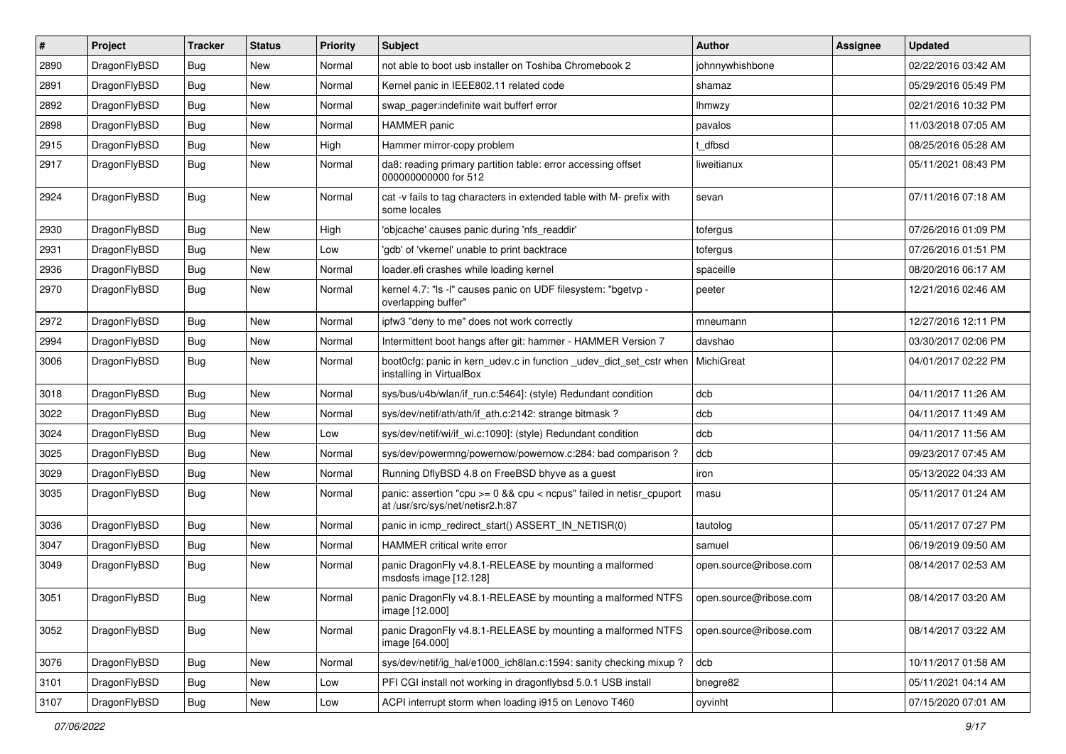| $\sharp$ | Project      | <b>Tracker</b> | <b>Status</b> | <b>Priority</b> | Subject                                                                                                 | <b>Author</b>          | Assignee | <b>Updated</b>      |
|----------|--------------|----------------|---------------|-----------------|---------------------------------------------------------------------------------------------------------|------------------------|----------|---------------------|
| 2890     | DragonFlyBSD | <b>Bug</b>     | New           | Normal          | not able to boot usb installer on Toshiba Chromebook 2                                                  | johnnywhishbone        |          | 02/22/2016 03:42 AM |
| 2891     | DragonFlyBSD | <b>Bug</b>     | New           | Normal          | Kernel panic in IEEE802.11 related code                                                                 | shamaz                 |          | 05/29/2016 05:49 PM |
| 2892     | DragonFlyBSD | <b>Bug</b>     | New           | Normal          | swap pager:indefinite wait bufferf error                                                                | Ihmwzy                 |          | 02/21/2016 10:32 PM |
| 2898     | DragonFlyBSD | <b>Bug</b>     | New           | Normal          | <b>HAMMER</b> panic                                                                                     | pavalos                |          | 11/03/2018 07:05 AM |
| 2915     | DragonFlyBSD | <b>Bug</b>     | New           | High            | Hammer mirror-copy problem                                                                              | t dfbsd                |          | 08/25/2016 05:28 AM |
| 2917     | DragonFlyBSD | <b>Bug</b>     | New           | Normal          | da8: reading primary partition table: error accessing offset<br>000000000000 for 512                    | liweitianux            |          | 05/11/2021 08:43 PM |
| 2924     | DragonFlyBSD | <b>Bug</b>     | <b>New</b>    | Normal          | cat -v fails to tag characters in extended table with M- prefix with<br>some locales                    | sevan                  |          | 07/11/2016 07:18 AM |
| 2930     | DragonFlyBSD | Bug            | New           | High            | 'objcache' causes panic during 'nfs_readdir'                                                            | tofergus               |          | 07/26/2016 01:09 PM |
| 2931     | DragonFlyBSD | Bug            | New           | Low             | 'gdb' of 'vkernel' unable to print backtrace                                                            | tofergus               |          | 07/26/2016 01:51 PM |
| 2936     | DragonFlyBSD | Bug            | New           | Normal          | loader.efi crashes while loading kernel                                                                 | spaceille              |          | 08/20/2016 06:17 AM |
| 2970     | DragonFlyBSD | Bug            | New           | Normal          | kernel 4.7: "Is -I" causes panic on UDF filesystem: "bgetvp -<br>overlapping buffer"                    | peeter                 |          | 12/21/2016 02:46 AM |
| 2972     | DragonFlyBSD | Bug            | <b>New</b>    | Normal          | ipfw3 "deny to me" does not work correctly                                                              | mneumann               |          | 12/27/2016 12:11 PM |
| 2994     | DragonFlyBSD | Bug            | New           | Normal          | Intermittent boot hangs after git: hammer - HAMMER Version 7                                            | davshao                |          | 03/30/2017 02:06 PM |
| 3006     | DragonFlyBSD | Bug            | New           | Normal          | boot0cfg: panic in kern_udev.c in function _udev_dict_set_cstr when<br>installing in VirtualBox         | MichiGreat             |          | 04/01/2017 02:22 PM |
| 3018     | DragonFlyBSD | Bug            | New           | Normal          | sys/bus/u4b/wlan/if run.c:5464]: (style) Redundant condition                                            | dcb                    |          | 04/11/2017 11:26 AM |
| 3022     | DragonFlyBSD | Bug            | New           | Normal          | sys/dev/netif/ath/ath/if ath.c:2142: strange bitmask?                                                   | dcb                    |          | 04/11/2017 11:49 AM |
| 3024     | DragonFlyBSD | Bug            | <b>New</b>    | Low             | sys/dev/netif/wi/if_wi.c:1090]: (style) Redundant condition                                             | dcb                    |          | 04/11/2017 11:56 AM |
| 3025     | DragonFlyBSD | Bug            | New           | Normal          | sys/dev/powermng/powernow/powernow.c:284: bad comparison?                                               | dcb                    |          | 09/23/2017 07:45 AM |
| 3029     | DragonFlyBSD | Bug            | <b>New</b>    | Normal          | Running DflyBSD 4.8 on FreeBSD bhyve as a guest                                                         | iron                   |          | 05/13/2022 04:33 AM |
| 3035     | DragonFlyBSD | Bug            | <b>New</b>    | Normal          | panic: assertion "cpu >= 0 && cpu < ncpus" failed in netisr_cpuport<br>at /usr/src/sys/net/netisr2.h:87 | masu                   |          | 05/11/2017 01:24 AM |
| 3036     | DragonFlyBSD | Bug            | New           | Normal          | panic in icmp_redirect_start() ASSERT_IN_NETISR(0)                                                      | tautolog               |          | 05/11/2017 07:27 PM |
| 3047     | DragonFlyBSD | Bug            | New           | Normal          | HAMMER critical write error                                                                             | samuel                 |          | 06/19/2019 09:50 AM |
| 3049     | DragonFlyBSD | Bug            | <b>New</b>    | Normal          | panic DragonFly v4.8.1-RELEASE by mounting a malformed<br>msdosfs image [12.128]                        | open.source@ribose.com |          | 08/14/2017 02:53 AM |
| 3051     | DragonFlyBSD | Bug            | <b>New</b>    | Normal          | panic DragonFly v4.8.1-RELEASE by mounting a malformed NTFS<br>image [12.000]                           | open.source@ribose.com |          | 08/14/2017 03:20 AM |
| 3052     | DragonFlyBSD | <b>Bug</b>     | New           | Normal          | panic DragonFly v4.8.1-RELEASE by mounting a malformed NTFS<br>image [64.000]                           | open.source@ribose.com |          | 08/14/2017 03:22 AM |
| 3076     | DragonFlyBSD | <b>Bug</b>     | New           | Normal          | sys/dev/netif/ig_hal/e1000_ich8lan.c:1594: sanity checking mixup?                                       | dcb                    |          | 10/11/2017 01:58 AM |
| 3101     | DragonFlyBSD | Bug            | New           | Low             | PFI CGI install not working in dragonflybsd 5.0.1 USB install                                           | bnegre82               |          | 05/11/2021 04:14 AM |
| 3107     | DragonFlyBSD | <b>Bug</b>     | New           | Low             | ACPI interrupt storm when loading i915 on Lenovo T460                                                   | oyvinht                |          | 07/15/2020 07:01 AM |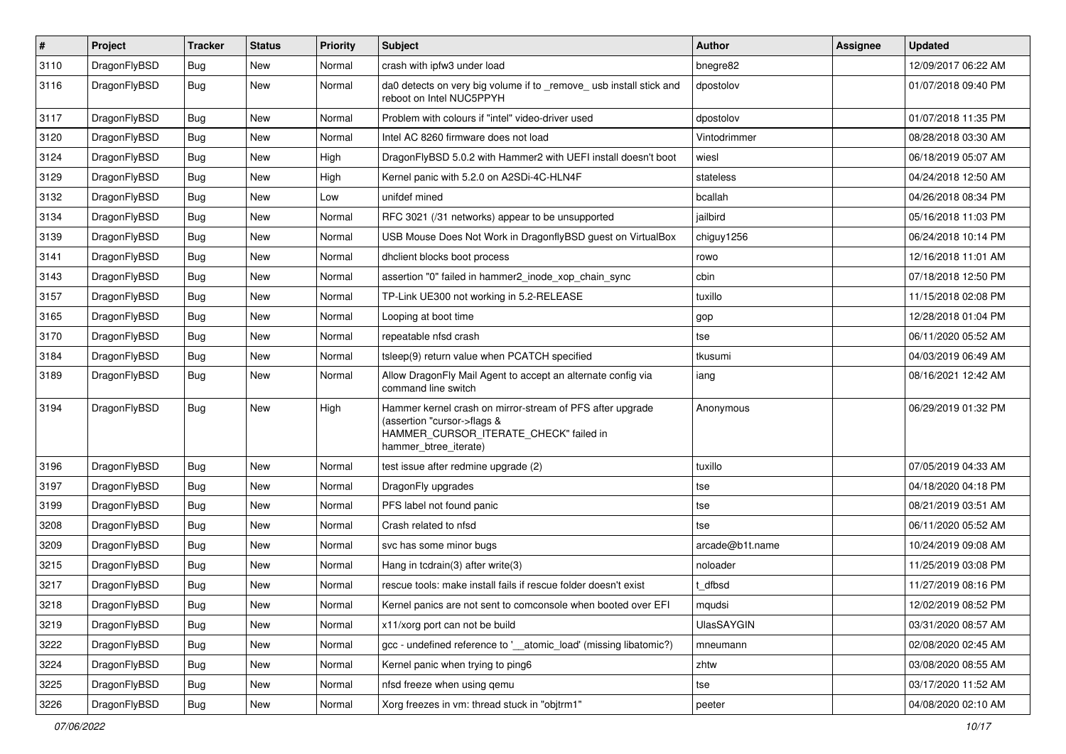| $\pmb{\#}$ | Project      | <b>Tracker</b> | <b>Status</b> | <b>Priority</b> | Subject                                                                                                                                                     | <b>Author</b>     | <b>Assignee</b> | <b>Updated</b>      |
|------------|--------------|----------------|---------------|-----------------|-------------------------------------------------------------------------------------------------------------------------------------------------------------|-------------------|-----------------|---------------------|
| 3110       | DragonFlyBSD | Bug            | New           | Normal          | crash with ipfw3 under load                                                                                                                                 | bnegre82          |                 | 12/09/2017 06:22 AM |
| 3116       | DragonFlyBSD | Bug            | <b>New</b>    | Normal          | da0 detects on very big volume if to _remove_ usb install stick and<br>reboot on Intel NUC5PPYH                                                             | dpostolov         |                 | 01/07/2018 09:40 PM |
| 3117       | DragonFlyBSD | Bug            | <b>New</b>    | Normal          | Problem with colours if "intel" video-driver used                                                                                                           | dpostolov         |                 | 01/07/2018 11:35 PM |
| 3120       | DragonFlyBSD | Bug            | <b>New</b>    | Normal          | Intel AC 8260 firmware does not load                                                                                                                        | Vintodrimmer      |                 | 08/28/2018 03:30 AM |
| 3124       | DragonFlyBSD | Bug            | <b>New</b>    | High            | DragonFlyBSD 5.0.2 with Hammer2 with UEFI install doesn't boot                                                                                              | wiesl             |                 | 06/18/2019 05:07 AM |
| 3129       | DragonFlyBSD | Bug            | <b>New</b>    | High            | Kernel panic with 5.2.0 on A2SDi-4C-HLN4F                                                                                                                   | stateless         |                 | 04/24/2018 12:50 AM |
| 3132       | DragonFlyBSD | Bug            | <b>New</b>    | Low             | unifdef mined                                                                                                                                               | bcallah           |                 | 04/26/2018 08:34 PM |
| 3134       | DragonFlyBSD | Bug            | New           | Normal          | RFC 3021 (/31 networks) appear to be unsupported                                                                                                            | jailbird          |                 | 05/16/2018 11:03 PM |
| 3139       | DragonFlyBSD | Bug            | <b>New</b>    | Normal          | USB Mouse Does Not Work in DragonflyBSD guest on VirtualBox                                                                                                 | chiguy1256        |                 | 06/24/2018 10:14 PM |
| 3141       | DragonFlyBSD | Bug            | <b>New</b>    | Normal          | dhclient blocks boot process                                                                                                                                | rowo              |                 | 12/16/2018 11:01 AM |
| 3143       | DragonFlyBSD | Bug            | <b>New</b>    | Normal          | assertion "0" failed in hammer2_inode_xop_chain_sync                                                                                                        | cbin              |                 | 07/18/2018 12:50 PM |
| 3157       | DragonFlyBSD | Bug            | <b>New</b>    | Normal          | TP-Link UE300 not working in 5.2-RELEASE                                                                                                                    | tuxillo           |                 | 11/15/2018 02:08 PM |
| 3165       | DragonFlyBSD | Bug            | New           | Normal          | Looping at boot time                                                                                                                                        | gop               |                 | 12/28/2018 01:04 PM |
| 3170       | DragonFlyBSD | Bug            | <b>New</b>    | Normal          | repeatable nfsd crash                                                                                                                                       | tse               |                 | 06/11/2020 05:52 AM |
| 3184       | DragonFlyBSD | Bug            | <b>New</b>    | Normal          | tsleep(9) return value when PCATCH specified                                                                                                                | tkusumi           |                 | 04/03/2019 06:49 AM |
| 3189       | DragonFlyBSD | Bug            | New           | Normal          | Allow DragonFly Mail Agent to accept an alternate config via<br>command line switch                                                                         | iang              |                 | 08/16/2021 12:42 AM |
| 3194       | DragonFlyBSD | <b>Bug</b>     | <b>New</b>    | High            | Hammer kernel crash on mirror-stream of PFS after upgrade<br>(assertion "cursor->flags &<br>HAMMER_CURSOR_ITERATE_CHECK" failed in<br>hammer_btree_iterate) | Anonymous         |                 | 06/29/2019 01:32 PM |
| 3196       | DragonFlyBSD | Bug            | <b>New</b>    | Normal          | test issue after redmine upgrade (2)                                                                                                                        | tuxillo           |                 | 07/05/2019 04:33 AM |
| 3197       | DragonFlyBSD | Bug            | <b>New</b>    | Normal          | DragonFly upgrades                                                                                                                                          | tse               |                 | 04/18/2020 04:18 PM |
| 3199       | DragonFlyBSD | Bug            | <b>New</b>    | Normal          | PFS label not found panic                                                                                                                                   | tse               |                 | 08/21/2019 03:51 AM |
| 3208       | DragonFlyBSD | Bug            | <b>New</b>    | Normal          | Crash related to nfsd                                                                                                                                       | tse               |                 | 06/11/2020 05:52 AM |
| 3209       | DragonFlyBSD | Bug            | New           | Normal          | svc has some minor bugs                                                                                                                                     | arcade@b1t.name   |                 | 10/24/2019 09:08 AM |
| 3215       | DragonFlyBSD | Bug            | <b>New</b>    | Normal          | Hang in todrain(3) after write(3)                                                                                                                           | noloader          |                 | 11/25/2019 03:08 PM |
| 3217       | DragonFlyBSD | Bug            | New           | Normal          | rescue tools: make install fails if rescue folder doesn't exist                                                                                             | dfbsd             |                 | 11/27/2019 08:16 PM |
| 3218       | DragonFlyBSD | Bug            | New           | Normal          | Kernel panics are not sent to comconsole when booted over EFI                                                                                               | mqudsi            |                 | 12/02/2019 08:52 PM |
| 3219       | DragonFlyBSD | Bug            | <b>New</b>    | Normal          | x11/xorg port can not be build                                                                                                                              | <b>UlasSAYGIN</b> |                 | 03/31/2020 08:57 AM |
| 3222       | DragonFlyBSD | <b>Bug</b>     | New           | Normal          | gcc - undefined reference to '__atomic_load' (missing libatomic?)                                                                                           | mneumann          |                 | 02/08/2020 02:45 AM |
| 3224       | DragonFlyBSD | <b>Bug</b>     | New           | Normal          | Kernel panic when trying to ping6                                                                                                                           | zhtw              |                 | 03/08/2020 08:55 AM |
| 3225       | DragonFlyBSD | <b>Bug</b>     | New           | Normal          | nfsd freeze when using gemu                                                                                                                                 | tse               |                 | 03/17/2020 11:52 AM |
| 3226       | DragonFlyBSD | Bug            | New           | Normal          | Xorg freezes in vm: thread stuck in "objtrm1"                                                                                                               | peeter            |                 | 04/08/2020 02:10 AM |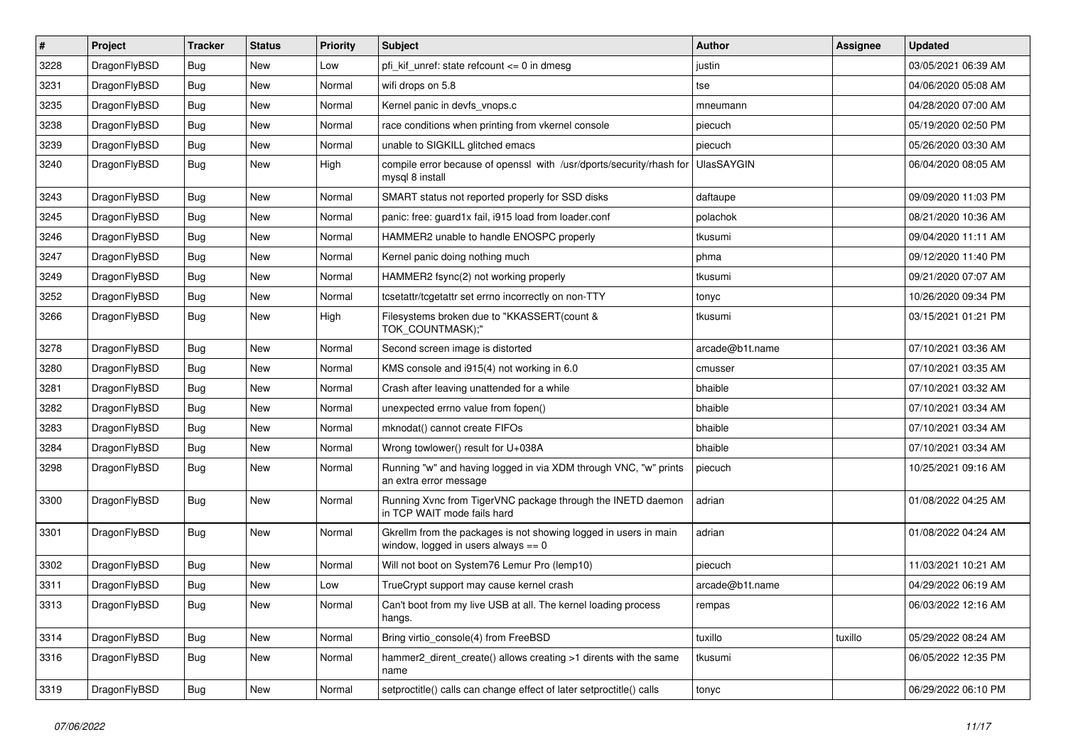| $\pmb{\#}$ | Project      | <b>Tracker</b> | <b>Status</b> | <b>Priority</b> | Subject                                                                                                   | Author            | Assignee | <b>Updated</b>      |
|------------|--------------|----------------|---------------|-----------------|-----------------------------------------------------------------------------------------------------------|-------------------|----------|---------------------|
| 3228       | DragonFlyBSD | Bug            | <b>New</b>    | Low             | pfi kif unref: state refcount $\leq$ 0 in dmesg                                                           | justin            |          | 03/05/2021 06:39 AM |
| 3231       | DragonFlyBSD | Bug            | <b>New</b>    | Normal          | wifi drops on 5.8                                                                                         | tse               |          | 04/06/2020 05:08 AM |
| 3235       | DragonFlyBSD | <b>Bug</b>     | <b>New</b>    | Normal          | Kernel panic in devfs vnops.c                                                                             | mneumann          |          | 04/28/2020 07:00 AM |
| 3238       | DragonFlyBSD | Bug            | <b>New</b>    | Normal          | race conditions when printing from vkernel console                                                        | piecuch           |          | 05/19/2020 02:50 PM |
| 3239       | DragonFlyBSD | <b>Bug</b>     | <b>New</b>    | Normal          | unable to SIGKILL glitched emacs                                                                          | piecuch           |          | 05/26/2020 03:30 AM |
| 3240       | DragonFlyBSD | Bug            | New           | High            | compile error because of openssl with /usr/dports/security/rhash for<br>mysql 8 install                   | <b>UlasSAYGIN</b> |          | 06/04/2020 08:05 AM |
| 3243       | DragonFlyBSD | <b>Bug</b>     | <b>New</b>    | Normal          | SMART status not reported properly for SSD disks                                                          | daftaupe          |          | 09/09/2020 11:03 PM |
| 3245       | DragonFlyBSD | Bug            | <b>New</b>    | Normal          | panic: free: guard1x fail, i915 load from loader.conf                                                     | polachok          |          | 08/21/2020 10:36 AM |
| 3246       | DragonFlyBSD | Bug            | <b>New</b>    | Normal          | HAMMER2 unable to handle ENOSPC properly                                                                  | tkusumi           |          | 09/04/2020 11:11 AM |
| 3247       | DragonFlyBSD | <b>Bug</b>     | <b>New</b>    | Normal          | Kernel panic doing nothing much                                                                           | phma              |          | 09/12/2020 11:40 PM |
| 3249       | DragonFlyBSD | Bug            | <b>New</b>    | Normal          | HAMMER2 fsync(2) not working properly                                                                     | tkusumi           |          | 09/21/2020 07:07 AM |
| 3252       | DragonFlyBSD | <b>Bug</b>     | New           | Normal          | tcsetattr/tcgetattr set errno incorrectly on non-TTY                                                      | tonyc             |          | 10/26/2020 09:34 PM |
| 3266       | DragonFlyBSD | Bug            | <b>New</b>    | High            | Filesystems broken due to "KKASSERT(count &<br>TOK_COUNTMASK);"                                           | tkusumi           |          | 03/15/2021 01:21 PM |
| 3278       | DragonFlyBSD | <b>Bug</b>     | <b>New</b>    | Normal          | Second screen image is distorted                                                                          | arcade@b1t.name   |          | 07/10/2021 03:36 AM |
| 3280       | DragonFlyBSD | Bug            | <b>New</b>    | Normal          | KMS console and i915(4) not working in 6.0                                                                | cmusser           |          | 07/10/2021 03:35 AM |
| 3281       | DragonFlyBSD | Bug            | <b>New</b>    | Normal          | Crash after leaving unattended for a while                                                                | bhaible           |          | 07/10/2021 03:32 AM |
| 3282       | DragonFlyBSD | Bug            | <b>New</b>    | Normal          | unexpected errno value from fopen()                                                                       | bhaible           |          | 07/10/2021 03:34 AM |
| 3283       | DragonFlyBSD | Bug            | <b>New</b>    | Normal          | mknodat() cannot create FIFOs                                                                             | bhaible           |          | 07/10/2021 03:34 AM |
| 3284       | DragonFlyBSD | <b>Bug</b>     | <b>New</b>    | Normal          | Wrong towlower() result for U+038A                                                                        | bhaible           |          | 07/10/2021 03:34 AM |
| 3298       | DragonFlyBSD | Bug            | New           | Normal          | Running "w" and having logged in via XDM through VNC, "w" prints<br>an extra error message                | piecuch           |          | 10/25/2021 09:16 AM |
| 3300       | DragonFlyBSD | <b>Bug</b>     | <b>New</b>    | Normal          | Running Xvnc from TigerVNC package through the INETD daemon<br>in TCP WAIT mode fails hard                | adrian            |          | 01/08/2022 04:25 AM |
| 3301       | DragonFlyBSD | <b>Bug</b>     | <b>New</b>    | Normal          | Gkrellm from the packages is not showing logged in users in main<br>window, logged in users always $== 0$ | adrian            |          | 01/08/2022 04:24 AM |
| 3302       | DragonFlyBSD | Bug            | <b>New</b>    | Normal          | Will not boot on System76 Lemur Pro (lemp10)                                                              | piecuch           |          | 11/03/2021 10:21 AM |
| 3311       | DragonFlyBSD | <b>Bug</b>     | New           | Low             | TrueCrypt support may cause kernel crash                                                                  | arcade@b1t.name   |          | 04/29/2022 06:19 AM |
| 3313       | DragonFlyBSD | Bug            | New           | Normal          | Can't boot from my live USB at all. The kernel loading process<br>hangs.                                  | rempas            |          | 06/03/2022 12:16 AM |
| 3314       | DragonFlyBSD | <b>Bug</b>     | New           | Normal          | Bring virtio console(4) from FreeBSD                                                                      | tuxillo           | tuxillo  | 05/29/2022 08:24 AM |
| 3316       | DragonFlyBSD | <b>Bug</b>     | New           | Normal          | hammer2_dirent_create() allows creating >1 dirents with the same<br>name                                  | tkusumi           |          | 06/05/2022 12:35 PM |
| 3319       | DragonFlyBSD | <b>Bug</b>     | New           | Normal          | setproctitle() calls can change effect of later setproctitle() calls                                      | tonyc             |          | 06/29/2022 06:10 PM |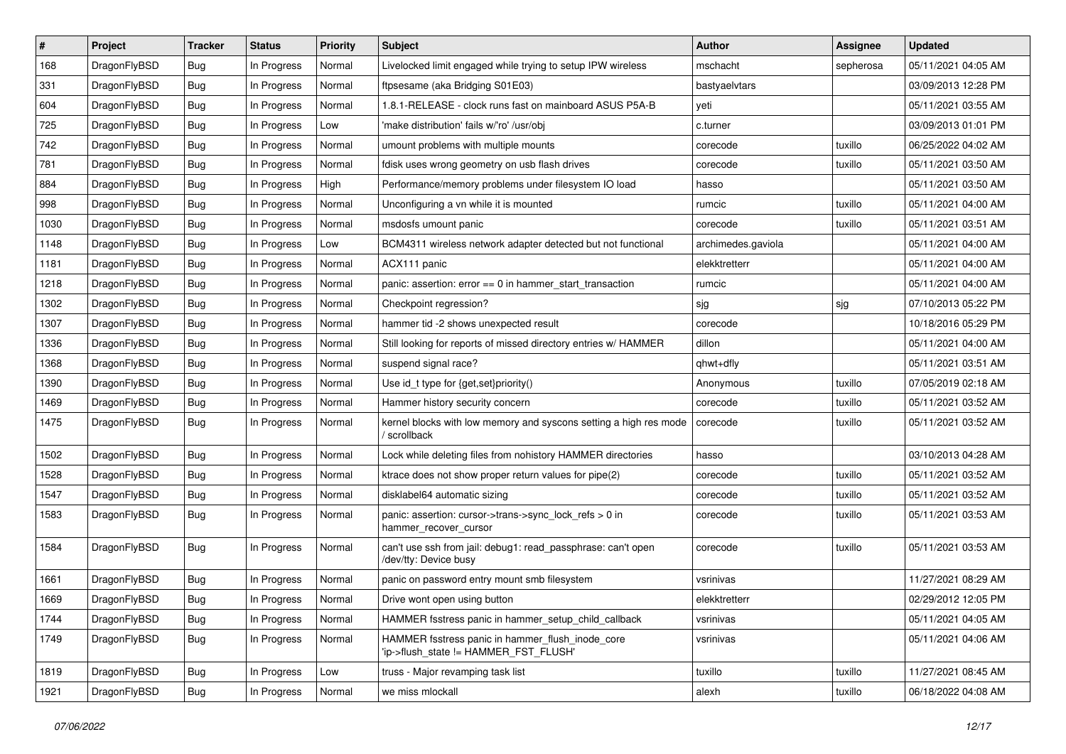| $\#$ | Project      | <b>Tracker</b> | <b>Status</b> | <b>Priority</b> | Subject                                                                                   | <b>Author</b>      | <b>Assignee</b> | <b>Updated</b>      |
|------|--------------|----------------|---------------|-----------------|-------------------------------------------------------------------------------------------|--------------------|-----------------|---------------------|
| 168  | DragonFlyBSD | Bug            | In Progress   | Normal          | Livelocked limit engaged while trying to setup IPW wireless                               | mschacht           | sepherosa       | 05/11/2021 04:05 AM |
| 331  | DragonFlyBSD | Bug            | In Progress   | Normal          | ftpsesame (aka Bridging S01E03)                                                           | bastyaelvtars      |                 | 03/09/2013 12:28 PM |
| 604  | DragonFlyBSD | Bug            | In Progress   | Normal          | 1.8.1-RELEASE - clock runs fast on mainboard ASUS P5A-B                                   | yeti               |                 | 05/11/2021 03:55 AM |
| 725  | DragonFlyBSD | <b>Bug</b>     | In Progress   | Low             | 'make distribution' fails w/'ro' /usr/obj                                                 | c.turner           |                 | 03/09/2013 01:01 PM |
| 742  | DragonFlyBSD | Bug            | In Progress   | Normal          | umount problems with multiple mounts                                                      | corecode           | tuxillo         | 06/25/2022 04:02 AM |
| 781  | DragonFlyBSD | <b>Bug</b>     | In Progress   | Normal          | fdisk uses wrong geometry on usb flash drives                                             | corecode           | tuxillo         | 05/11/2021 03:50 AM |
| 884  | DragonFlyBSD | Bug            | In Progress   | High            | Performance/memory problems under filesystem IO load                                      | hasso              |                 | 05/11/2021 03:50 AM |
| 998  | DragonFlyBSD | Bug            | In Progress   | Normal          | Unconfiguring a vn while it is mounted                                                    | rumcic             | tuxillo         | 05/11/2021 04:00 AM |
| 1030 | DragonFlyBSD | Bug            | In Progress   | Normal          | msdosfs umount panic                                                                      | corecode           | tuxillo         | 05/11/2021 03:51 AM |
| 1148 | DragonFlyBSD | Bug            | In Progress   | Low             | BCM4311 wireless network adapter detected but not functional                              | archimedes.gaviola |                 | 05/11/2021 04:00 AM |
| 1181 | DragonFlyBSD | Bug            | In Progress   | Normal          | ACX111 panic                                                                              | elekktretterr      |                 | 05/11/2021 04:00 AM |
| 1218 | DragonFlyBSD | Bug            | In Progress   | Normal          | panic: assertion: $error == 0$ in hammer start transaction                                | rumcic             |                 | 05/11/2021 04:00 AM |
| 1302 | DragonFlyBSD | Bug            | In Progress   | Normal          | Checkpoint regression?                                                                    | sjg                | sjg             | 07/10/2013 05:22 PM |
| 1307 | DragonFlyBSD | Bug            | In Progress   | Normal          | hammer tid -2 shows unexpected result                                                     | corecode           |                 | 10/18/2016 05:29 PM |
| 1336 | DragonFlyBSD | Bug            | In Progress   | Normal          | Still looking for reports of missed directory entries w/ HAMMER                           | dillon             |                 | 05/11/2021 04:00 AM |
| 1368 | DragonFlyBSD | Bug            | In Progress   | Normal          | suspend signal race?                                                                      | ghwt+dfly          |                 | 05/11/2021 03:51 AM |
| 1390 | DragonFlyBSD | <b>Bug</b>     | In Progress   | Normal          | Use id_t type for {get,set}priority()                                                     | Anonymous          | tuxillo         | 07/05/2019 02:18 AM |
| 1469 | DragonFlyBSD | Bug            | In Progress   | Normal          | Hammer history security concern                                                           | corecode           | tuxillo         | 05/11/2021 03:52 AM |
| 1475 | DragonFlyBSD | Bug            | In Progress   | Normal          | kernel blocks with low memory and syscons setting a high res mode<br>/ scrollback         | corecode           | tuxillo         | 05/11/2021 03:52 AM |
| 1502 | DragonFlyBSD | Bug            | In Progress   | Normal          | Lock while deleting files from nohistory HAMMER directories                               | hasso              |                 | 03/10/2013 04:28 AM |
| 1528 | DragonFlyBSD | Bug            | In Progress   | Normal          | ktrace does not show proper return values for pipe(2)                                     | corecode           | tuxillo         | 05/11/2021 03:52 AM |
| 1547 | DragonFlyBSD | Bug            | In Progress   | Normal          | disklabel64 automatic sizing                                                              | corecode           | tuxillo         | 05/11/2021 03:52 AM |
| 1583 | DragonFlyBSD | <b>Bug</b>     | In Progress   | Normal          | panic: assertion: cursor->trans->sync_lock_refs > 0 in<br>hammer_recover_cursor           | corecode           | tuxillo         | 05/11/2021 03:53 AM |
| 1584 | DragonFlyBSD | Bug            | In Progress   | Normal          | can't use ssh from jail: debug1: read_passphrase: can't open<br>/dev/tty: Device busy     | corecode           | tuxillo         | 05/11/2021 03:53 AM |
| 1661 | DragonFlyBSD | Bug            | In Progress   | Normal          | panic on password entry mount smb filesystem                                              | vsrinivas          |                 | 11/27/2021 08:29 AM |
| 1669 | DragonFlyBSD | Bug            | In Progress   | Normal          | Drive wont open using button                                                              | elekktretterr      |                 | 02/29/2012 12:05 PM |
| 1744 | DragonFlyBSD | Bug            | In Progress   | Normal          | HAMMER fsstress panic in hammer_setup_child_callback                                      | vsrinivas          |                 | 05/11/2021 04:05 AM |
| 1749 | DragonFlyBSD | <b>Bug</b>     | In Progress   | Normal          | HAMMER fsstress panic in hammer_flush_inode_core<br>'ip->flush_state != HAMMER_FST_FLUSH' | vsrinivas          |                 | 05/11/2021 04:06 AM |
| 1819 | DragonFlyBSD | <b>Bug</b>     | In Progress   | Low             | truss - Major revamping task list                                                         | tuxillo            | tuxillo         | 11/27/2021 08:45 AM |
| 1921 | DragonFlyBSD | Bug            | In Progress   | Normal          | we miss mlockall                                                                          | alexh              | tuxillo         | 06/18/2022 04:08 AM |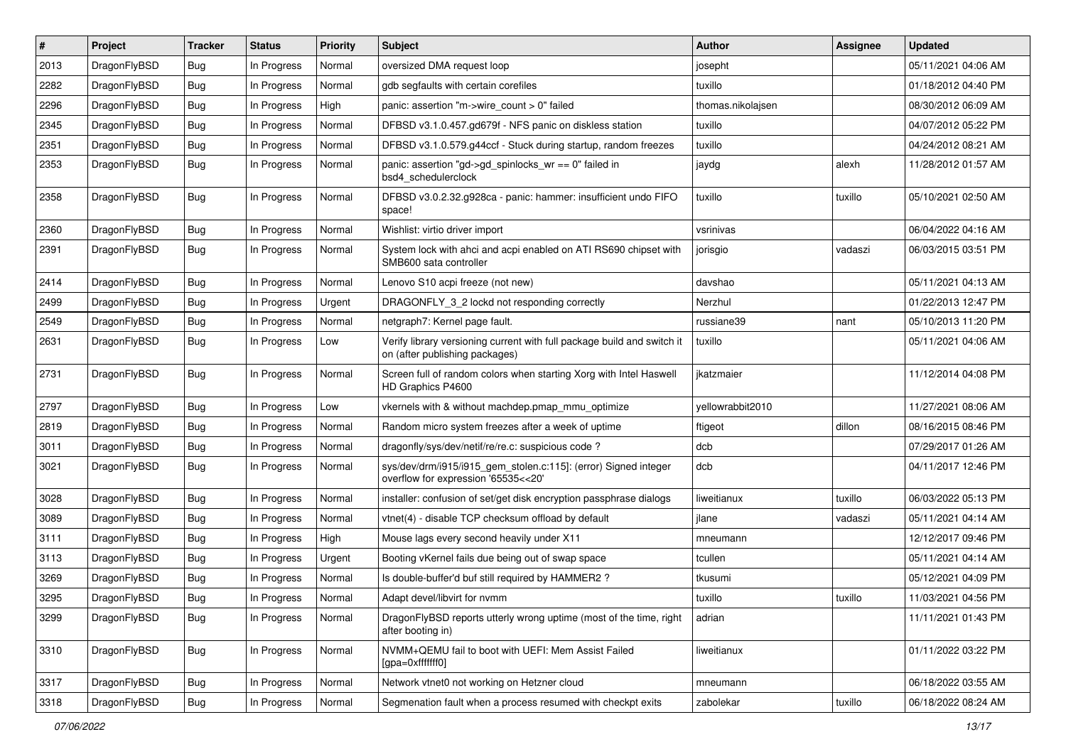| #    | Project      | <b>Tracker</b> | <b>Status</b> | <b>Priority</b> | Subject                                                                                                   | <b>Author</b>     | Assignee | <b>Updated</b>      |
|------|--------------|----------------|---------------|-----------------|-----------------------------------------------------------------------------------------------------------|-------------------|----------|---------------------|
| 2013 | DragonFlyBSD | Bug            | In Progress   | Normal          | oversized DMA request loop                                                                                | josepht           |          | 05/11/2021 04:06 AM |
| 2282 | DragonFlyBSD | Bug            | In Progress   | Normal          | gdb segfaults with certain corefiles                                                                      | tuxillo           |          | 01/18/2012 04:40 PM |
| 2296 | DragonFlyBSD | Bug            | In Progress   | High            | panic: assertion "m->wire count > 0" failed                                                               | thomas.nikolajsen |          | 08/30/2012 06:09 AM |
| 2345 | DragonFlyBSD | Bug            | In Progress   | Normal          | DFBSD v3.1.0.457.gd679f - NFS panic on diskless station                                                   | tuxillo           |          | 04/07/2012 05:22 PM |
| 2351 | DragonFlyBSD | Bug            | In Progress   | Normal          | DFBSD v3.1.0.579.g44ccf - Stuck during startup, random freezes                                            | tuxillo           |          | 04/24/2012 08:21 AM |
| 2353 | DragonFlyBSD | Bug            | In Progress   | Normal          | panic: assertion "gd->gd_spinlocks_wr == 0" failed in<br>bsd4_schedulerclock                              | jaydg             | alexh    | 11/28/2012 01:57 AM |
| 2358 | DragonFlyBSD | <b>Bug</b>     | In Progress   | Normal          | DFBSD v3.0.2.32.g928ca - panic: hammer: insufficient undo FIFO<br>space!                                  | tuxillo           | tuxillo  | 05/10/2021 02:50 AM |
| 2360 | DragonFlyBSD | Bug            | In Progress   | Normal          | Wishlist: virtio driver import                                                                            | vsrinivas         |          | 06/04/2022 04:16 AM |
| 2391 | DragonFlyBSD | Bug            | In Progress   | Normal          | System lock with ahci and acpi enabled on ATI RS690 chipset with<br>SMB600 sata controller                | jorisgio          | vadaszi  | 06/03/2015 03:51 PM |
| 2414 | DragonFlyBSD | Bug            | In Progress   | Normal          | Lenovo S10 acpi freeze (not new)                                                                          | davshao           |          | 05/11/2021 04:13 AM |
| 2499 | DragonFlyBSD | Bug            | In Progress   | Urgent          | DRAGONFLY_3_2 lockd not responding correctly                                                              | Nerzhul           |          | 01/22/2013 12:47 PM |
| 2549 | DragonFlyBSD | Bug            | In Progress   | Normal          | netgraph7: Kernel page fault.                                                                             | russiane39        | nant     | 05/10/2013 11:20 PM |
| 2631 | DragonFlyBSD | Bug            | In Progress   | Low             | Verify library versioning current with full package build and switch it<br>on (after publishing packages) | tuxillo           |          | 05/11/2021 04:06 AM |
| 2731 | DragonFlyBSD | Bug            | In Progress   | Normal          | Screen full of random colors when starting Xorg with Intel Haswell<br>HD Graphics P4600                   | ikatzmaier        |          | 11/12/2014 04:08 PM |
| 2797 | DragonFlyBSD | Bug            | In Progress   | Low             | vkernels with & without machdep.pmap mmu optimize                                                         | yellowrabbit2010  |          | 11/27/2021 08:06 AM |
| 2819 | DragonFlyBSD | Bug            | In Progress   | Normal          | Random micro system freezes after a week of uptime                                                        | ftigeot           | dillon   | 08/16/2015 08:46 PM |
| 3011 | DragonFlyBSD | <b>Bug</b>     | In Progress   | Normal          | dragonfly/sys/dev/netif/re/re.c: suspicious code?                                                         | dcb               |          | 07/29/2017 01:26 AM |
| 3021 | DragonFlyBSD | <b>Bug</b>     | In Progress   | Normal          | sys/dev/drm/i915/i915_gem_stolen.c:115]: (error) Signed integer<br>overflow for expression '65535<<20'    | dcb               |          | 04/11/2017 12:46 PM |
| 3028 | DragonFlyBSD | Bug            | In Progress   | Normal          | installer: confusion of set/get disk encryption passphrase dialogs                                        | liweitianux       | tuxillo  | 06/03/2022 05:13 PM |
| 3089 | DragonFlyBSD | Bug            | In Progress   | Normal          | vtnet(4) - disable TCP checksum offload by default                                                        | jlane             | vadaszi  | 05/11/2021 04:14 AM |
| 3111 | DragonFlyBSD | <b>Bug</b>     | In Progress   | High            | Mouse lags every second heavily under X11                                                                 | mneumann          |          | 12/12/2017 09:46 PM |
| 3113 | DragonFlyBSD | <b>Bug</b>     | In Progress   | Urgent          | Booting vKernel fails due being out of swap space                                                         | tcullen           |          | 05/11/2021 04:14 AM |
| 3269 | DragonFlyBSD | Bug            | In Progress   | Normal          | Is double-buffer'd buf still required by HAMMER2 ?                                                        | tkusumi           |          | 05/12/2021 04:09 PM |
| 3295 | DragonFlyBSD | Bug            | In Progress   | Normal          | Adapt devel/libvirt for nvmm                                                                              | tuxillo           | tuxillo  | 11/03/2021 04:56 PM |
| 3299 | DragonFlyBSD | Bug            | In Progress   | Normal          | DragonFlyBSD reports utterly wrong uptime (most of the time, right<br>after booting in)                   | adrian            |          | 11/11/2021 01:43 PM |
| 3310 | DragonFlyBSD | <b>Bug</b>     | In Progress   | Normal          | NVMM+QEMU fail to boot with UEFI: Mem Assist Failed<br>[gpa=0xfffffff0]                                   | liweitianux       |          | 01/11/2022 03:22 PM |
| 3317 | DragonFlyBSD | Bug            | In Progress   | Normal          | Network vtnet0 not working on Hetzner cloud                                                               | mneumann          |          | 06/18/2022 03:55 AM |
| 3318 | DragonFlyBSD | <b>Bug</b>     | In Progress   | Normal          | Segmenation fault when a process resumed with checkpt exits                                               | zabolekar         | tuxillo  | 06/18/2022 08:24 AM |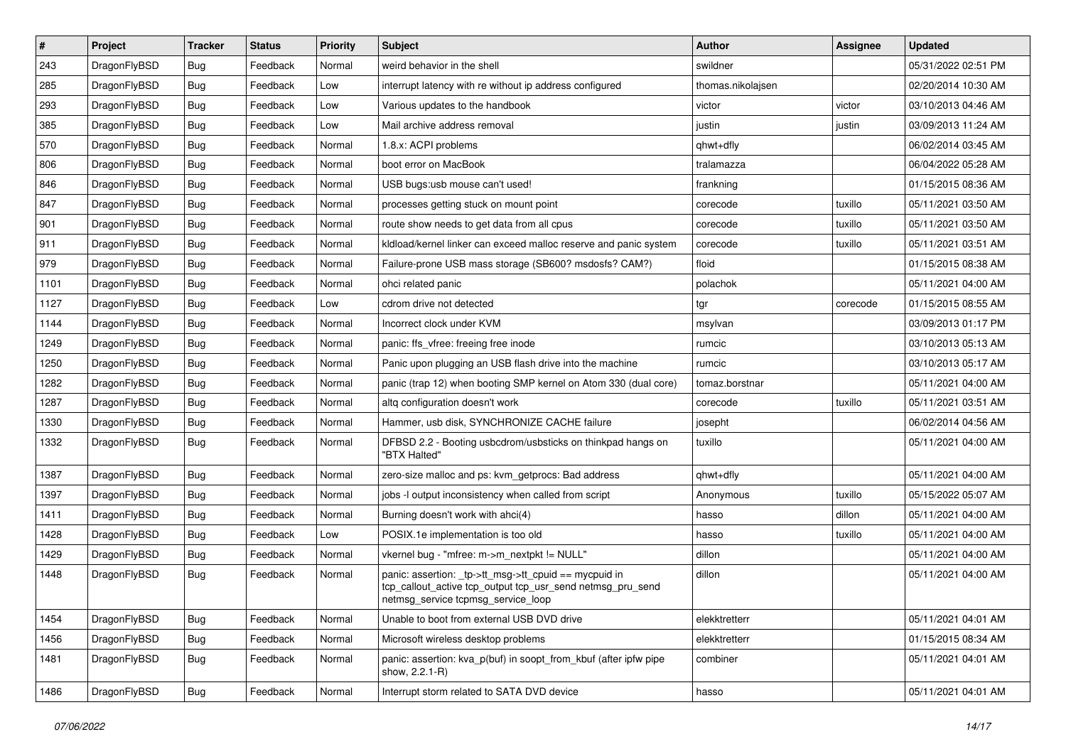| $\vert$ # | Project      | <b>Tracker</b> | <b>Status</b> | <b>Priority</b> | Subject                                                                                                                                                   | <b>Author</b>     | <b>Assignee</b> | <b>Updated</b>      |
|-----------|--------------|----------------|---------------|-----------------|-----------------------------------------------------------------------------------------------------------------------------------------------------------|-------------------|-----------------|---------------------|
| 243       | DragonFlyBSD | Bug            | Feedback      | Normal          | weird behavior in the shell                                                                                                                               | swildner          |                 | 05/31/2022 02:51 PM |
| 285       | DragonFlyBSD | Bug            | Feedback      | Low             | interrupt latency with re without ip address configured                                                                                                   | thomas.nikolajsen |                 | 02/20/2014 10:30 AM |
| 293       | DragonFlyBSD | Bug            | Feedback      | Low             | Various updates to the handbook                                                                                                                           | victor            | victor          | 03/10/2013 04:46 AM |
| 385       | DragonFlyBSD | Bug            | Feedback      | Low             | Mail archive address removal                                                                                                                              | justin            | justin          | 03/09/2013 11:24 AM |
| 570       | DragonFlyBSD | Bug            | Feedback      | Normal          | 1.8.x: ACPI problems                                                                                                                                      | qhwt+dfly         |                 | 06/02/2014 03:45 AM |
| 806       | DragonFlyBSD | Bug            | Feedback      | Normal          | boot error on MacBook                                                                                                                                     | tralamazza        |                 | 06/04/2022 05:28 AM |
| 846       | DragonFlyBSD | Bug            | Feedback      | Normal          | USB bugs:usb mouse can't used!                                                                                                                            | frankning         |                 | 01/15/2015 08:36 AM |
| 847       | DragonFlyBSD | Bug            | Feedback      | Normal          | processes getting stuck on mount point                                                                                                                    | corecode          | tuxillo         | 05/11/2021 03:50 AM |
| 901       | DragonFlyBSD | Bug            | Feedback      | Normal          | route show needs to get data from all cpus                                                                                                                | corecode          | tuxillo         | 05/11/2021 03:50 AM |
| 911       | DragonFlyBSD | Bug            | Feedback      | Normal          | kldload/kernel linker can exceed malloc reserve and panic system                                                                                          | corecode          | tuxillo         | 05/11/2021 03:51 AM |
| 979       | DragonFlyBSD | Bug            | Feedback      | Normal          | Failure-prone USB mass storage (SB600? msdosfs? CAM?)                                                                                                     | floid             |                 | 01/15/2015 08:38 AM |
| 1101      | DragonFlyBSD | Bug            | Feedback      | Normal          | ohci related panic                                                                                                                                        | polachok          |                 | 05/11/2021 04:00 AM |
| 1127      | DragonFlyBSD | Bug            | Feedback      | Low             | cdrom drive not detected                                                                                                                                  | tgr               | corecode        | 01/15/2015 08:55 AM |
| 1144      | DragonFlyBSD | Bug            | Feedback      | Normal          | Incorrect clock under KVM                                                                                                                                 | msylvan           |                 | 03/09/2013 01:17 PM |
| 1249      | DragonFlyBSD | Bug            | Feedback      | Normal          | panic: ffs vfree: freeing free inode                                                                                                                      | rumcic            |                 | 03/10/2013 05:13 AM |
| 1250      | DragonFlyBSD | Bug            | Feedback      | Normal          | Panic upon plugging an USB flash drive into the machine                                                                                                   | rumcic            |                 | 03/10/2013 05:17 AM |
| 1282      | DragonFlyBSD | Bug            | Feedback      | Normal          | panic (trap 12) when booting SMP kernel on Atom 330 (dual core)                                                                                           | tomaz.borstnar    |                 | 05/11/2021 04:00 AM |
| 1287      | DragonFlyBSD | Bug            | Feedback      | Normal          | altg configuration doesn't work                                                                                                                           | corecode          | tuxillo         | 05/11/2021 03:51 AM |
| 1330      | DragonFlyBSD | Bug            | Feedback      | Normal          | Hammer, usb disk, SYNCHRONIZE CACHE failure                                                                                                               | josepht           |                 | 06/02/2014 04:56 AM |
| 1332      | DragonFlyBSD | Bug            | Feedback      | Normal          | DFBSD 2.2 - Booting usbcdrom/usbsticks on thinkpad hangs on<br>"BTX Halted"                                                                               | tuxillo           |                 | 05/11/2021 04:00 AM |
| 1387      | DragonFlyBSD | Bug            | Feedback      | Normal          | zero-size malloc and ps: kvm_getprocs: Bad address                                                                                                        | qhwt+dfly         |                 | 05/11/2021 04:00 AM |
| 1397      | DragonFlyBSD | Bug            | Feedback      | Normal          | jobs -I output inconsistency when called from script                                                                                                      | Anonymous         | tuxillo         | 05/15/2022 05:07 AM |
| 1411      | DragonFlyBSD | Bug            | Feedback      | Normal          | Burning doesn't work with ahci(4)                                                                                                                         | hasso             | dillon          | 05/11/2021 04:00 AM |
| 1428      | DragonFlyBSD | Bug            | Feedback      | Low             | POSIX.1e implementation is too old                                                                                                                        | hasso             | tuxillo         | 05/11/2021 04:00 AM |
| 1429      | DragonFlyBSD | Bug            | Feedback      | Normal          | vkernel bug - "mfree: m->m_nextpkt != NULL"                                                                                                               | dillon            |                 | 05/11/2021 04:00 AM |
| 1448      | DragonFlyBSD | Bug            | Feedback      | Normal          | panic: assertion: _tp->tt_msg->tt_cpuid == mycpuid in<br>tcp_callout_active tcp_output tcp_usr_send netmsg_pru_send<br>netmsg_service tcpmsg_service_loop | dillon            |                 | 05/11/2021 04:00 AM |
| 1454      | DragonFlyBSD | Bug            | Feedback      | Normal          | Unable to boot from external USB DVD drive                                                                                                                | elekktretterr     |                 | 05/11/2021 04:01 AM |
| 1456      | DragonFlyBSD | Bug            | Feedback      | Normal          | Microsoft wireless desktop problems                                                                                                                       | elekktretterr     |                 | 01/15/2015 08:34 AM |
| 1481      | DragonFlyBSD | <b>Bug</b>     | Feedback      | Normal          | panic: assertion: kva_p(buf) in soopt_from_kbuf (after ipfw pipe<br>show, 2.2.1-R)                                                                        | combiner          |                 | 05/11/2021 04:01 AM |
| 1486      | DragonFlyBSD | <b>Bug</b>     | Feedback      | Normal          | Interrupt storm related to SATA DVD device                                                                                                                | hasso             |                 | 05/11/2021 04:01 AM |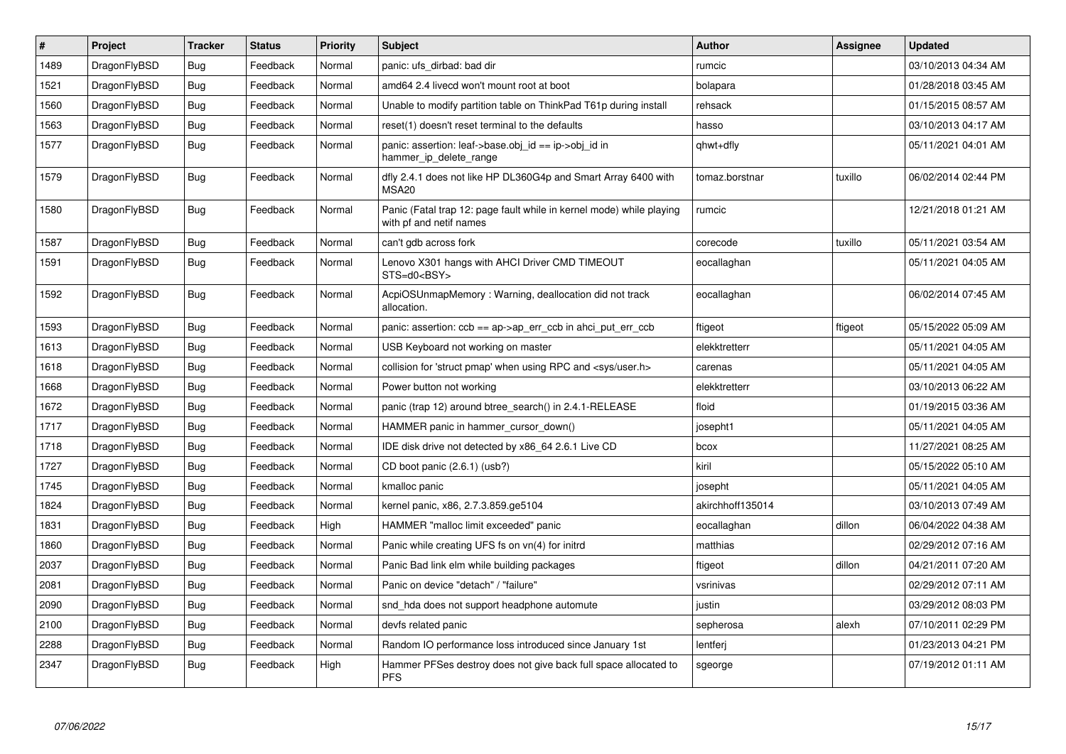| $\vert$ # | Project      | <b>Tracker</b> | <b>Status</b> | <b>Priority</b> | <b>Subject</b>                                                                                  | <b>Author</b>    | Assignee | <b>Updated</b>      |
|-----------|--------------|----------------|---------------|-----------------|-------------------------------------------------------------------------------------------------|------------------|----------|---------------------|
| 1489      | DragonFlyBSD | <b>Bug</b>     | Feedback      | Normal          | panic: ufs_dirbad: bad dir                                                                      | rumcic           |          | 03/10/2013 04:34 AM |
| 1521      | DragonFlyBSD | Bug            | Feedback      | Normal          | amd64 2.4 livecd won't mount root at boot                                                       | bolapara         |          | 01/28/2018 03:45 AM |
| 1560      | DragonFlyBSD | Bug            | Feedback      | Normal          | Unable to modify partition table on ThinkPad T61p during install                                | rehsack          |          | 01/15/2015 08:57 AM |
| 1563      | DragonFlyBSD | <b>Bug</b>     | Feedback      | Normal          | reset(1) doesn't reset terminal to the defaults                                                 | hasso            |          | 03/10/2013 04:17 AM |
| 1577      | DragonFlyBSD | <b>Bug</b>     | Feedback      | Normal          | panic: assertion: leaf->base.obj id == ip->obj id in<br>hammer_ip_delete_range                  | qhwt+dfly        |          | 05/11/2021 04:01 AM |
| 1579      | DragonFlyBSD | <b>Bug</b>     | Feedback      | Normal          | dfly 2.4.1 does not like HP DL360G4p and Smart Array 6400 with<br>MSA <sub>20</sub>             | tomaz.borstnar   | tuxillo  | 06/02/2014 02:44 PM |
| 1580      | DragonFlyBSD | Bug            | Feedback      | Normal          | Panic (Fatal trap 12: page fault while in kernel mode) while playing<br>with pf and netif names | rumcic           |          | 12/21/2018 01:21 AM |
| 1587      | DragonFlyBSD | Bug            | Feedback      | Normal          | can't gdb across fork                                                                           | corecode         | tuxillo  | 05/11/2021 03:54 AM |
| 1591      | DragonFlyBSD | <b>Bug</b>     | Feedback      | Normal          | Lenovo X301 hangs with AHCI Driver CMD TIMEOUT<br>STS=d0 <bsy></bsy>                            | eocallaghan      |          | 05/11/2021 04:05 AM |
| 1592      | DragonFlyBSD | <b>Bug</b>     | Feedback      | Normal          | AcpiOSUnmapMemory: Warning, deallocation did not track<br>allocation.                           | eocallaghan      |          | 06/02/2014 07:45 AM |
| 1593      | DragonFlyBSD | Bug            | Feedback      | Normal          | panic: assertion: $ccb == ap > ap$ err $ccb$ in ahci put err $ccb$                              | ftigeot          | ftigeot  | 05/15/2022 05:09 AM |
| 1613      | DragonFlyBSD | <b>Bug</b>     | Feedback      | Normal          | USB Keyboard not working on master                                                              | elekktretterr    |          | 05/11/2021 04:05 AM |
| 1618      | DragonFlyBSD | Bug            | Feedback      | Normal          | collision for 'struct pmap' when using RPC and <sys user.h=""></sys>                            | carenas          |          | 05/11/2021 04:05 AM |
| 1668      | DragonFlyBSD | <b>Bug</b>     | Feedback      | Normal          | Power button not working                                                                        | elekktretterr    |          | 03/10/2013 06:22 AM |
| 1672      | DragonFlyBSD | Bug            | Feedback      | Normal          | panic (trap 12) around btree search() in 2.4.1-RELEASE                                          | floid            |          | 01/19/2015 03:36 AM |
| 1717      | DragonFlyBSD | <b>Bug</b>     | Feedback      | Normal          | HAMMER panic in hammer_cursor_down()                                                            | josepht1         |          | 05/11/2021 04:05 AM |
| 1718      | DragonFlyBSD | <b>Bug</b>     | Feedback      | Normal          | IDE disk drive not detected by x86 64 2.6.1 Live CD                                             | bcox             |          | 11/27/2021 08:25 AM |
| 1727      | DragonFlyBSD | <b>Bug</b>     | Feedback      | Normal          | CD boot panic (2.6.1) (usb?)                                                                    | kiril            |          | 05/15/2022 05:10 AM |
| 1745      | DragonFlyBSD | <b>Bug</b>     | Feedback      | Normal          | kmalloc panic                                                                                   | josepht          |          | 05/11/2021 04:05 AM |
| 1824      | DragonFlyBSD | <b>Bug</b>     | Feedback      | Normal          | kernel panic, x86, 2.7.3.859.ge5104                                                             | akirchhoff135014 |          | 03/10/2013 07:49 AM |
| 1831      | DragonFlyBSD | <b>Bug</b>     | Feedback      | High            | HAMMER "malloc limit exceeded" panic                                                            | eocallaghan      | dillon   | 06/04/2022 04:38 AM |
| 1860      | DragonFlyBSD | Bug            | Feedback      | Normal          | Panic while creating UFS fs on vn(4) for initrd                                                 | matthias         |          | 02/29/2012 07:16 AM |
| 2037      | DragonFlyBSD | <b>Bug</b>     | Feedback      | Normal          | Panic Bad link elm while building packages                                                      | ftigeot          | dillon   | 04/21/2011 07:20 AM |
| 2081      | DragonFlyBSD | Bug            | Feedback      | Normal          | Panic on device "detach" / "failure"                                                            | vsrinivas        |          | 02/29/2012 07:11 AM |
| 2090      | DragonFlyBSD | Bug            | Feedback      | Normal          | snd_hda does not support headphone automute                                                     | justin           |          | 03/29/2012 08:03 PM |
| 2100      | DragonFlyBSD | Bug            | Feedback      | Normal          | devfs related panic                                                                             | sepherosa        | alexh    | 07/10/2011 02:29 PM |
| 2288      | DragonFlyBSD | <b>Bug</b>     | Feedback      | Normal          | Random IO performance loss introduced since January 1st                                         | lentferj         |          | 01/23/2013 04:21 PM |
| 2347      | DragonFlyBSD | <b>Bug</b>     | Feedback      | High            | Hammer PFSes destroy does not give back full space allocated to<br><b>PFS</b>                   | sgeorge          |          | 07/19/2012 01:11 AM |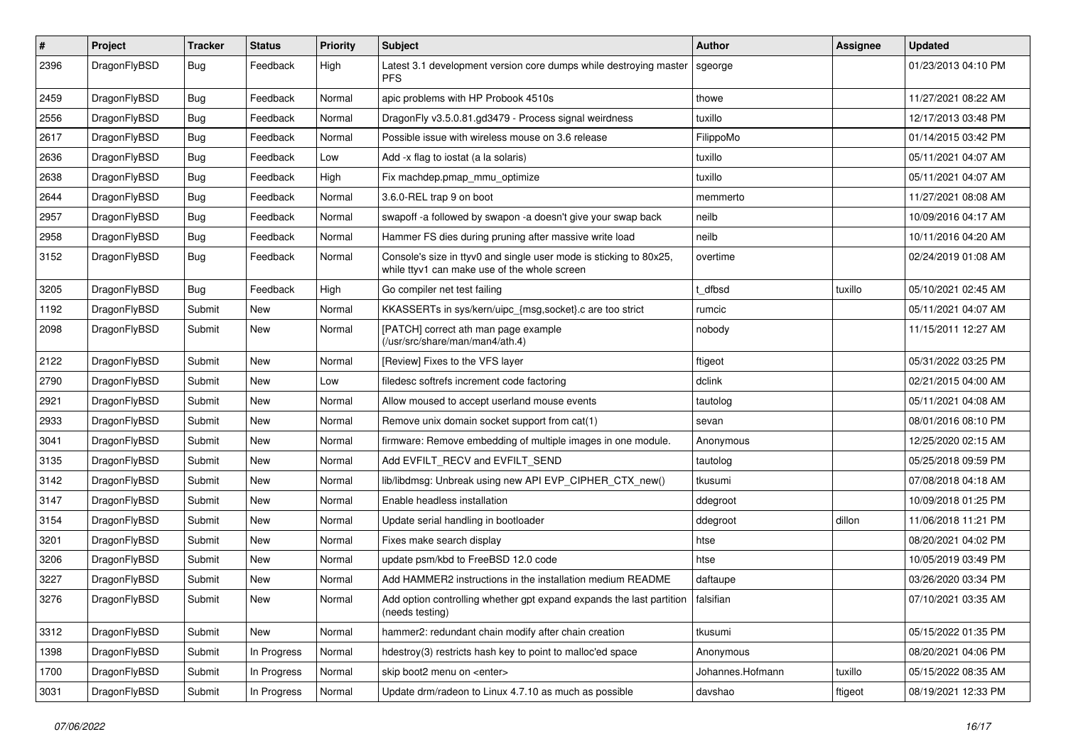| #    | Project      | <b>Tracker</b> | <b>Status</b> | <b>Priority</b> | Subject                                                                                                            | Author           | Assignee | <b>Updated</b>      |
|------|--------------|----------------|---------------|-----------------|--------------------------------------------------------------------------------------------------------------------|------------------|----------|---------------------|
| 2396 | DragonFlyBSD | Bug            | Feedback      | High            | Latest 3.1 development version core dumps while destroying master<br><b>PFS</b>                                    | sgeorge          |          | 01/23/2013 04:10 PM |
| 2459 | DragonFlyBSD | <b>Bug</b>     | Feedback      | Normal          | apic problems with HP Probook 4510s                                                                                | thowe            |          | 11/27/2021 08:22 AM |
| 2556 | DragonFlyBSD | Bug            | Feedback      | Normal          | DragonFly v3.5.0.81.gd3479 - Process signal weirdness                                                              | tuxillo          |          | 12/17/2013 03:48 PM |
| 2617 | DragonFlyBSD | <b>Bug</b>     | Feedback      | Normal          | Possible issue with wireless mouse on 3.6 release                                                                  | FilippoMo        |          | 01/14/2015 03:42 PM |
| 2636 | DragonFlyBSD | <b>Bug</b>     | Feedback      | Low             | Add -x flag to iostat (a la solaris)                                                                               | tuxillo          |          | 05/11/2021 04:07 AM |
| 2638 | DragonFlyBSD | <b>Bug</b>     | Feedback      | High            | Fix machdep.pmap_mmu_optimize                                                                                      | tuxillo          |          | 05/11/2021 04:07 AM |
| 2644 | DragonFlyBSD | <b>Bug</b>     | Feedback      | Normal          | 3.6.0-REL trap 9 on boot                                                                                           | memmerto         |          | 11/27/2021 08:08 AM |
| 2957 | DragonFlyBSD | Bug            | Feedback      | Normal          | swapoff -a followed by swapon -a doesn't give your swap back                                                       | neilb            |          | 10/09/2016 04:17 AM |
| 2958 | DragonFlyBSD | Bug            | Feedback      | Normal          | Hammer FS dies during pruning after massive write load                                                             | neilb            |          | 10/11/2016 04:20 AM |
| 3152 | DragonFlyBSD | Bug            | Feedback      | Normal          | Console's size in ttyv0 and single user mode is sticking to 80x25,<br>while ttyv1 can make use of the whole screen | overtime         |          | 02/24/2019 01:08 AM |
| 3205 | DragonFlyBSD | <b>Bug</b>     | Feedback      | High            | Go compiler net test failing                                                                                       | t dfbsd          | tuxillo  | 05/10/2021 02:45 AM |
| 1192 | DragonFlyBSD | Submit         | New           | Normal          | KKASSERTs in sys/kern/uipc_{msg,socket}.c are too strict                                                           | rumcic           |          | 05/11/2021 04:07 AM |
| 2098 | DragonFlyBSD | Submit         | New           | Normal          | [PATCH] correct ath man page example<br>(/usr/src/share/man/man4/ath.4)                                            | nobody           |          | 11/15/2011 12:27 AM |
| 2122 | DragonFlyBSD | Submit         | <b>New</b>    | Normal          | [Review] Fixes to the VFS layer                                                                                    | ftigeot          |          | 05/31/2022 03:25 PM |
| 2790 | DragonFlyBSD | Submit         | New           | Low             | filedesc softrefs increment code factoring                                                                         | dclink           |          | 02/21/2015 04:00 AM |
| 2921 | DragonFlyBSD | Submit         | New           | Normal          | Allow moused to accept userland mouse events                                                                       | tautolog         |          | 05/11/2021 04:08 AM |
| 2933 | DragonFlyBSD | Submit         | <b>New</b>    | Normal          | Remove unix domain socket support from cat(1)                                                                      | sevan            |          | 08/01/2016 08:10 PM |
| 3041 | DragonFlyBSD | Submit         | New           | Normal          | firmware: Remove embedding of multiple images in one module.                                                       | Anonymous        |          | 12/25/2020 02:15 AM |
| 3135 | DragonFlyBSD | Submit         | New           | Normal          | Add EVFILT_RECV and EVFILT_SEND                                                                                    | tautolog         |          | 05/25/2018 09:59 PM |
| 3142 | DragonFlyBSD | Submit         | New           | Normal          | lib/libdmsg: Unbreak using new API EVP_CIPHER_CTX_new()                                                            | tkusumi          |          | 07/08/2018 04:18 AM |
| 3147 | DragonFlyBSD | Submit         | New           | Normal          | Enable headless installation                                                                                       | ddegroot         |          | 10/09/2018 01:25 PM |
| 3154 | DragonFlyBSD | Submit         | New           | Normal          | Update serial handling in bootloader                                                                               | ddegroot         | dillon   | 11/06/2018 11:21 PM |
| 3201 | DragonFlyBSD | Submit         | New           | Normal          | Fixes make search display                                                                                          | htse             |          | 08/20/2021 04:02 PM |
| 3206 | DragonFlyBSD | Submit         | New           | Normal          | update psm/kbd to FreeBSD 12.0 code                                                                                | htse             |          | 10/05/2019 03:49 PM |
| 3227 | DragonFlyBSD | Submit         | New           | Normal          | Add HAMMER2 instructions in the installation medium README                                                         | daftaupe         |          | 03/26/2020 03:34 PM |
| 3276 | DragonFlyBSD | Submit         | New           | Normal          | Add option controlling whether gpt expand expands the last partition<br>(needs testing)                            | falsifian        |          | 07/10/2021 03:35 AM |
| 3312 | DragonFlyBSD | Submit         | New           | Normal          | hammer2: redundant chain modify after chain creation                                                               | tkusumi          |          | 05/15/2022 01:35 PM |
| 1398 | DragonFlyBSD | Submit         | In Progress   | Normal          | hdestroy(3) restricts hash key to point to malloc'ed space                                                         | Anonymous        |          | 08/20/2021 04:06 PM |
| 1700 | DragonFlyBSD | Submit         | In Progress   | Normal          | skip boot2 menu on <enter></enter>                                                                                 | Johannes.Hofmann | tuxillo  | 05/15/2022 08:35 AM |
| 3031 | DragonFlyBSD | Submit         | In Progress   | Normal          | Update drm/radeon to Linux 4.7.10 as much as possible                                                              | davshao          | ftigeot  | 08/19/2021 12:33 PM |